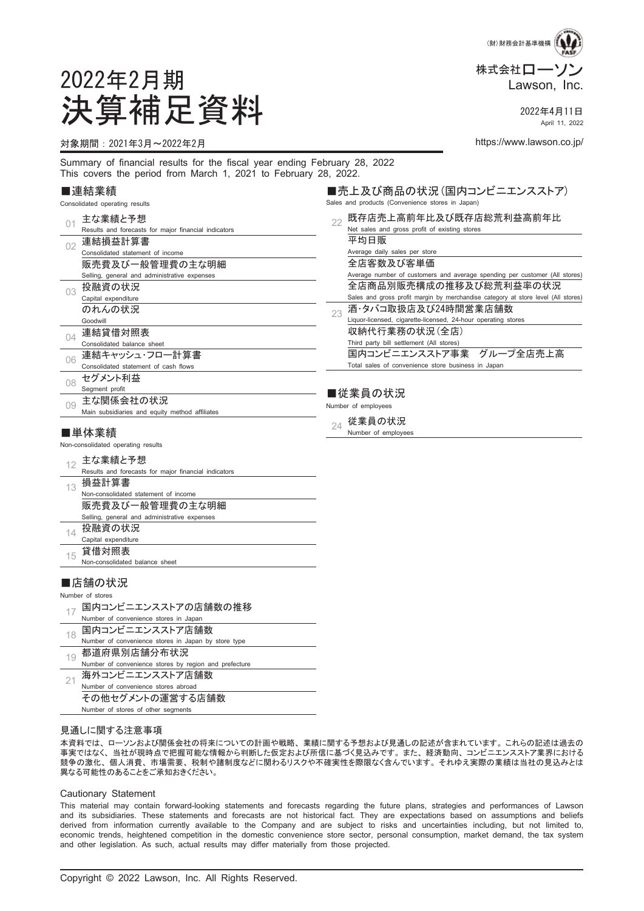

April 11, 2022

■売上及び商品の状況(国内コンビニエンスストア)

2022年2月期 決算補足資料 2022年4月11日

#### 対象期間:2021年3月~2022年2月 https://www.lawson.co.jp/

Summary of financial results for the fiscal year ending February 28, 2022 This covers the period from March 1, 2021 to February 28, 2022.

#### ■連結業績

|          | Consolidated operating results                                  |    | Sales and products (Convenience stores in Japan)                                  |
|----------|-----------------------------------------------------------------|----|-----------------------------------------------------------------------------------|
|          | 主な業績と予想<br>Results and forecasts for major financial indicators | 22 | 既存店売上高前年比及び既存店総荒利益高前年比<br>Net sales and gross profit of existing stores           |
| 02       | 連結損益計算書                                                         |    | 平均日販                                                                              |
|          | Consolidated statement of income                                |    | Average daily sales per store                                                     |
|          | 販売費及び一般管理費の主な明細                                                 |    | 全店客数及び客単価                                                                         |
|          | Selling, general and administrative expenses                    |    | Average number of customers and average spending per customer (All stores)        |
| 03       | 投融資の状況                                                          |    | 全店商品別販売構成の推移及び総荒利益率の状況                                                            |
|          | Capital expenditure                                             |    | Sales and gross profit margin by merchandise category at store level (All stores) |
|          | のれんの状況                                                          | 23 | 酒・タバコ取扱店及び24時間営業店舗数                                                               |
|          | Goodwill                                                        |    | Liquor-licensed, cigarette-licensed, 24-hour operating stores                     |
| $\Omega$ | 連結貸借対照表                                                         |    | 収納代行業務の状況(全店)                                                                     |
|          | Consolidated balance sheet                                      |    | Third party bill settlement (All stores)                                          |
| 06       | 連結キャッシュ・フロー計算書                                                  |    | 国内コンビニエンスストア事業 グループ全店売上高                                                          |
|          | Consolidated statement of cash flows                            |    | Total sales of convenience store business in Japan                                |
| 08       | セグメント利益                                                         |    |                                                                                   |
|          | Segment profit                                                  |    | ■従業員の状況                                                                           |
| 0.9      | 主な関係会社の状況                                                       |    |                                                                                   |
|          | Main subsidiaries and equity method affiliates                  |    | Number of employees                                                               |
|          |                                                                 | 24 | 従業員の状況                                                                            |
|          | ■単体業績                                                           |    | Number of employees                                                               |
|          | Non-consolidated operating results                              |    |                                                                                   |
| 12       | 主な業績と予想                                                         |    |                                                                                   |
|          | Results and forecasts for major financial indicators            |    |                                                                                   |
| 13       | 損益計算書                                                           |    |                                                                                   |
|          | Non-consolidated statement of income                            |    |                                                                                   |
|          | 販売費及び一般管理費の主な明細                                                 |    |                                                                                   |
|          | Selling, general and administrative expenses                    |    |                                                                                   |

- 14 投融資の状況
- Capital expenditure 15 貸借対照表
- Non-consolidated balance sheet

#### ■店舗の状況

Number of stores

17 国内コンビニエンスストアの店舗数の推移

| Number of convenience stores in Japan                 |
|-------------------------------------------------------|
| 国内コンビニエンスストア店舗数                                       |
| Number of convenience stores in Japan by store type   |
| 都道府県別店舗分布状況                                           |
| Number of convenience stores by region and prefecture |
| 海外コンビニエンスストア店舗数                                       |
| Number of convenience stores abroad                   |
| その他セグメントの運営する店舗数                                      |
| Number of stores of other segments                    |

#### 見通しに関する注意事項

本資料では、 ローソンおよび関係会社の将来についての計画や戦略、 業績に関する予想および見通しの記述が含まれています。 これらの記述は過去の 事実ではなく、 当社が現時点で把握可能な情報から判断した仮定および所信に基づく見込みです。 また、 経済動向、 コンビニエンスストア業界における 競争の激化、 個人消費、 市場需要、 税制や諸制度などに関わるリスクや不確実性を際限なく含んでいます。 それゆえ実際の業績は当社の見込みとは 異なる可能性のあることをご承知おきください。

#### Cautionary Statement

This material may contain forward-looking statements and forecasts regarding the future plans, strategies and performances of Lawson and its subsidiaries. These statements and forecasts are not historical fact. They are expectations based on assumptions and beliefs derived from information currently available to the Company and are subject to risks and uncertainties including, but not limited to, economic trends, heightened competition in the domestic convenience store sector, personal consumption, market demand, the tax system and other legislation. As such, actual results may differ materially from those projected.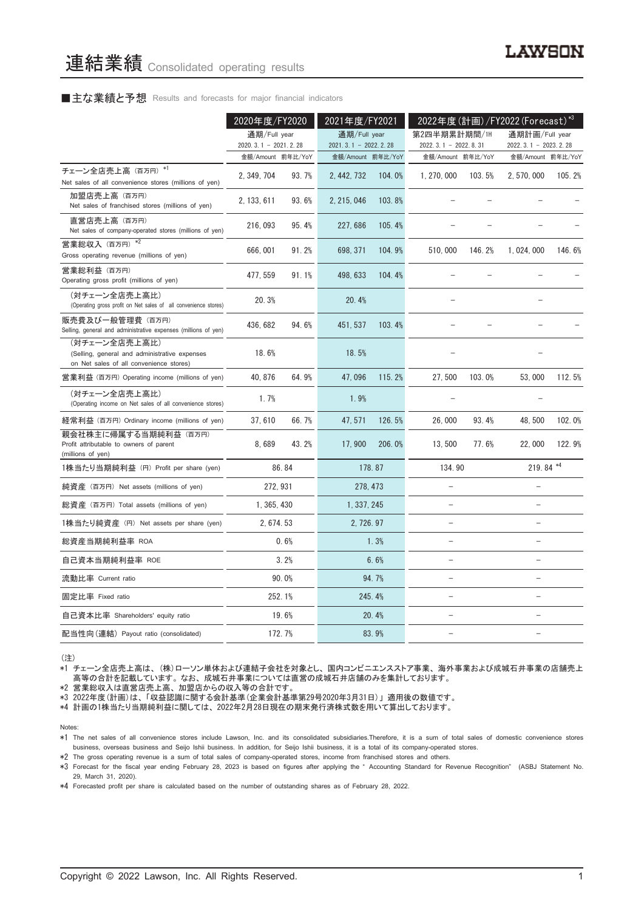#### ■主な業績と予想 Results and forecasts for major financial indicators

|                                                                                                           | 2020年度/FY2020                               |        | 2021年度/FY2021                               |          | 2022年度(計画)/FY2022 (Forecast)*3                |        |                                               |        |
|-----------------------------------------------------------------------------------------------------------|---------------------------------------------|--------|---------------------------------------------|----------|-----------------------------------------------|--------|-----------------------------------------------|--------|
|                                                                                                           | 通期/Full year                                |        | 通期/Full year                                |          | 第2四半期累計期間/1H                                  |        | 通期計画/Full year                                |        |
|                                                                                                           | $2020.3.1 - 2021.2.28$<br>金額/Amount 前年比/YoY |        | $2021.3.1 - 2022.2.28$<br>金額/Amount 前年比/YoY |          | 2022. 3. 1 - 2022. 8. 31<br>金額/Amount 前年比/YoY |        | 2022. 3. 1 - 2023. 2. 28<br>金額/Amount 前年比/YoY |        |
| チェーン全店売上高 (百万円) *1<br>Net sales of all convenience stores (millions of yen)                               | 2, 349, 704                                 | 93.7%  | 2, 442, 732                                 | 104.0%   | 1, 270, 000                                   | 103.5% | 2, 570, 000                                   | 105.2% |
| 加盟店売上高(百万円)<br>Net sales of franchised stores (millions of yen)                                           | 2, 133, 611                                 | 93.6%  | 2, 215, 046                                 | 103.8%   |                                               |        |                                               |        |
| 直営店売上高(百万円)<br>Net sales of company-operated stores (millions of yen)                                     | 216, 093                                    | 95.4%  | 227,686                                     | 105.4%   |                                               |        |                                               |        |
| 営業総収入 (百万円) *2<br>Gross operating revenue (millions of yen)                                               | 666,001                                     | 91.2%  | 698, 371                                    | 104.9%   | 510,000                                       | 146.2% | 1, 024, 000                                   | 146.6% |
| 営業総利益 (百万円)<br>Operating gross profit (millions of yen)                                                   | 477, 559                                    | 91.1%  | 498, 633                                    | 104.4%   |                                               |        |                                               |        |
| (対チェーン全店売上高比)<br>(Operating gross profit on Net sales of all convenience stores)                          | 20.3%                                       |        | 20.4%                                       |          |                                               |        |                                               |        |
| 販売費及び一般管理費 (百万円)<br>Selling, general and administrative expenses (millions of yen)                        | 436, 682                                    | 94.6%  | 451, 537                                    | 103.4%   |                                               |        |                                               |        |
| (対チェーン全店売上高比)<br>(Selling, general and administrative expenses<br>on Net sales of all convenience stores) | 18.6%                                       |        | 18.5%                                       |          |                                               |        |                                               |        |
| 営業利益 (百万円) Operating income (millions of yen)                                                             | 40.876                                      | 64.9%  | 47.096                                      | 115.2%   | 27,500                                        | 103.0% | 53.000                                        | 112.5% |
| (対チェーン全店売上高比)<br>(Operating income on Net sales of all convenience stores)                                | 1.7%                                        |        | 1.9%                                        |          |                                               |        |                                               |        |
| 経常利益 (百万円) Ordinary income (millions of yen)                                                              | 37,610                                      | 66.7%  | 47, 571                                     | 126.5%   | 26,000                                        | 93.4%  | 48,500                                        | 102.0% |
| 親会社株主に帰属する当期純利益 (百万円)<br>Profit attributable to owners of parent<br>(millions of yen)                     | 8,689                                       | 43.2%  | 17,900                                      | 206.0%   | 13,500                                        | 77.6%  | 22,000                                        | 122.9% |
| 1株当たり当期純利益 (円) Profit per share (yen)                                                                     |                                             | 86.84  |                                             | 178.87   | 134.90                                        |        | 219.84 *4                                     |        |
| 純資産 (百万円) Net assets (millions of yen)                                                                    | 272, 931                                    |        |                                             | 278, 473 |                                               |        |                                               |        |
| 総資産 (百万円) Total assets (millions of yen)                                                                  | 1, 365, 430                                 |        | 1, 337, 245                                 |          |                                               |        | $\equiv$                                      |        |
| 1株当たり純資産 (円) Net assets per share (yen)                                                                   | 2, 674. 53                                  |        | 2, 726.97                                   |          |                                               |        | $\overline{\phantom{0}}$                      |        |
| 総資産当期純利益率 ROA                                                                                             |                                             | 0.6%   |                                             | 1.3%     |                                               |        | ÷                                             |        |
| 自己資本当期純利益率 ROE                                                                                            |                                             | 3.2%   |                                             | 6.6%     | $\overline{\phantom{0}}$                      |        | $\overline{\phantom{0}}$                      |        |
| 流動比率 Current ratio                                                                                        |                                             | 90.0%  |                                             | 94.7%    | $\equiv$                                      |        | ÷,                                            |        |
| 固定比率 Fixed ratio                                                                                          |                                             | 252.1% |                                             | 245.4%   | $\equiv$                                      |        | L.                                            |        |
| 自己資本比率 Shareholders' equity ratio                                                                         |                                             | 19.6%  |                                             | 20.4%    |                                               |        |                                               |        |
| 配当性向(連結)Payout ratio (consolidated)                                                                       |                                             | 172.7% |                                             | 83.9%    |                                               |        | $\overline{\phantom{0}}$                      |        |

(注)

\*1 チェーン全店売上高は、 (株)ローソン単体および連結子会社を対象とし、 国内コンビニエンスストア事業、 海外事業および成城石井事業の店舗売上 高等の合計を記載しています。 なお、 成城石井事業については直営の成城石井店舗のみを集計しております。

\*2 営業総収入は直営店売上高、 加盟店からの収入等の合計です。

\*3 2022年度(計画)は、 「収益認識に関する会計基準(企業会計基準第29号2020年3月31日)」 適用後の数値です。

\*4 計画の1株当たり当期純利益に関しては、 2022年2月28日現在の期末発行済株式数を用いて算出しております。

Notes:

\*2 The gross operating revenue is a sum of total sales of company-operated stores, income from franchised stores and others.

\*3 Forecast for the fiscal year ending February 28, 2023 is based on figures after applying the " Accounting Standard for Revenue Recognition" (ASBJ Statement No. 29, March 31, 2020).

\*4 Forecasted profit per share is calculated based on the number of outstanding shares as of February 28, 2022.

<sup>\*1</sup> The net sales of all convenience stores include Lawson, Inc. and its consolidated subsidiaries.Therefore, it is a sum of total sales of domestic convenience stores business, overseas business and Seijo Ishii business. In addition, for Seijo Ishii business, it is a total of its company-operated stores.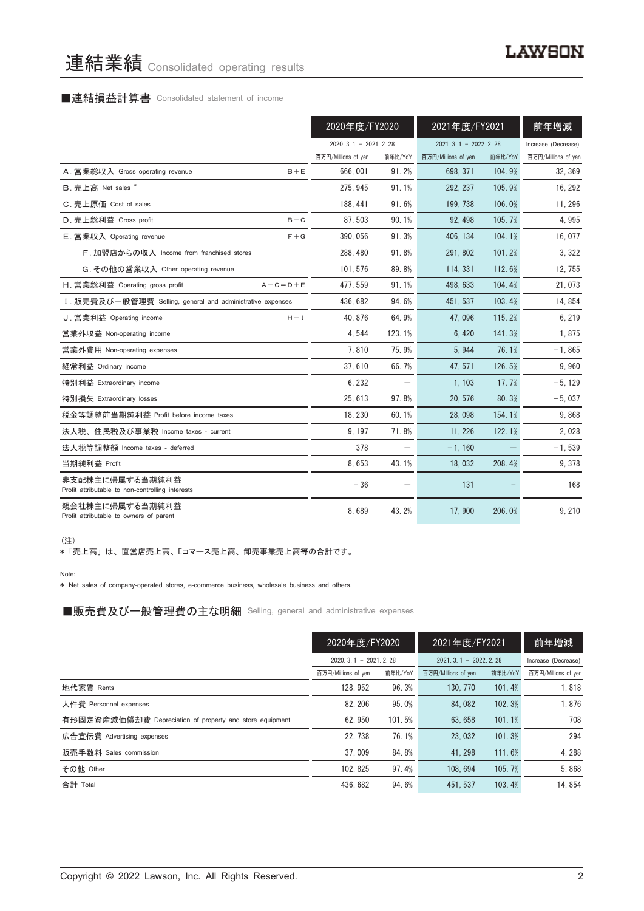# 連結業績 Consolidated operating results

## ■連結損益計算書 Consolidated statement of income

|                                                                     |                        | 2020年度/FY2020 |                        | 2021年度/FY2021 |                     |
|---------------------------------------------------------------------|------------------------|---------------|------------------------|---------------|---------------------|
|                                                                     | $2020.3.1 - 2021.2.28$ |               | $2021.3.1 - 2022.2.28$ |               | Increase (Decrease) |
|                                                                     | 百万円/Millions of yen    | 前年比/YoY       | 百万円/Millions of yen    | 前年比/YoY       | 百万円/Millions of yen |
| A. 営業総収入 Gross operating revenue<br>$B + E$                         | 666,001                | 91.2%         | 698.371                | 104.9%        | 32, 369             |
| B. 売上高 Net sales *                                                  | 275.945                | 91.1%         | 292, 237               | 105.9%        | 16, 292             |
| C. 売上原価 Cost of sales                                               | 188, 441               | 91.6%         | 199.738                | 106.0%        | 11, 296             |
| D. 売上総利益 Gross profit<br>$B - C$                                    | 87.503                 | 90.1%         | 92.498                 | 105.7%        | 4,995               |
| E. 営業収入 Operating revenue<br>$F + G$                                | 390.056                | 91.3%         | 406.134                | 104.1%        | 16,077              |
| F. 加盟店からの収入 Income from franchised stores                           | 288, 480               | 91.8%         | 291.802                | 101.2%        | 3,322               |
| G. その他の営業収入 Other operating revenue                                 | 101, 576               | 89.8%         | 114, 331               | 112.6%        | 12, 755             |
| H. 営業総利益 Operating gross profit<br>$A - C = D + E$                  | 477.559                | 91.1%         | 498.633                | 104.4%        | 21,073              |
| I. 販売費及び一般管理費 Selling, general and administrative expenses          | 436, 682               | 94.6%         | 451, 537               | 103.4%        | 14,854              |
| J. 営業利益 Operating income<br>$H - I$                                 | 40.876                 | 64.9%         | 47.096                 | 115.2%        | 6,219               |
| 営業外収益 Non-operating income                                          | 4.544                  | 123.1%        | 6.420                  | 141.3%        | 1,875               |
| 営業外費用 Non-operating expenses                                        | 7,810                  | 75.9%         | 5,944                  | 76.1%         | $-1,865$            |
| 経常利益 Ordinary income                                                | 37.610                 | 66.7%         | 47.571                 | 126.5%        | 9,960               |
| 特別利益 Extraordinary income                                           | 6, 232                 |               | 1, 103                 | 17.7%         | $-5, 129$           |
| 特別損失 Extraordinary losses                                           | 25.613                 | 97.8%         | 20.576                 | 80.3%         | $-5,037$            |
| 税金等調整前当期純利益 Profit before income taxes                              | 18.230                 | 60.1%         | 28.098                 | 154.1%        | 9.868               |
| 法人税、住民税及び事業税 Income taxes - current                                 | 9, 197                 | 71.8%         | 11.226                 | 122.1%        | 2,028               |
| 法人税等調整額 Income taxes - deferred                                     | 378                    |               | $-1.160$               |               | $-1,539$            |
| 当期純利益 Profit                                                        | 8.653                  | 43.1%         | 18.032                 | 208.4%        | 9,378               |
| 非支配株主に帰属する当期純利益<br>Profit attributable to non-controlling interests | $-36$                  |               | 131                    |               | 168                 |
| 親会社株主に帰属する当期純利益<br>Profit attributable to owners of parent          | 8.689                  | 43.2%         | 17,900                 | 206.0%        | 9,210               |

(注)

\* 「売上高」 は、 直営店売上高、 Eコマース売上高、 卸売事業売上高等の合計です。

Note:

\* Net sales of company-operated stores, e-commerce business, wholesale business and others.

■販売費及び一般管理費の主な明細 Selling, general and administrative expenses

|                                                          | 2020年度/FY2020       |                        | 2021年度/FY2021       |                        | 前年増減                |
|----------------------------------------------------------|---------------------|------------------------|---------------------|------------------------|---------------------|
|                                                          |                     | $2020.3.1 - 2021.2.28$ |                     | $2021.3.1 - 2022.2.28$ |                     |
|                                                          | 百万円/Millions of yen | 前年比/YoY                | 百万円/Millions of yen | 前年比/YoY                | 百万円/Millions of yen |
| 地代家賃 Rents                                               | 128, 952            | 96.3%                  | 130, 770            | 101.4%                 | 1,818               |
| 人件費 Personnel expenses                                   | 82.206              | 95.0%                  | 84.082              | 102.3%                 | 1.876               |
| 有形固定資産減価償却費 Depreciation of property and store equipment | 62.950              | 101.5%                 | 63.658              | 101.1%                 | 708                 |
| 広告宣伝費 Advertising expenses                               | 22.738              | 76.1%                  | 23.032              | 101.3%                 | 294                 |
| 販売手数料 Sales commission                                   | 37.009              | 84.8%                  | 41.298              | 111.6%                 | 4.288               |
| その他 Other                                                | 102.825             | 97.4%                  | 108.694             | 105.7%                 | 5.868               |
| 合計 Total                                                 | 436, 682            | 94.6%                  | 451.537             | 103.4%                 | 14.854              |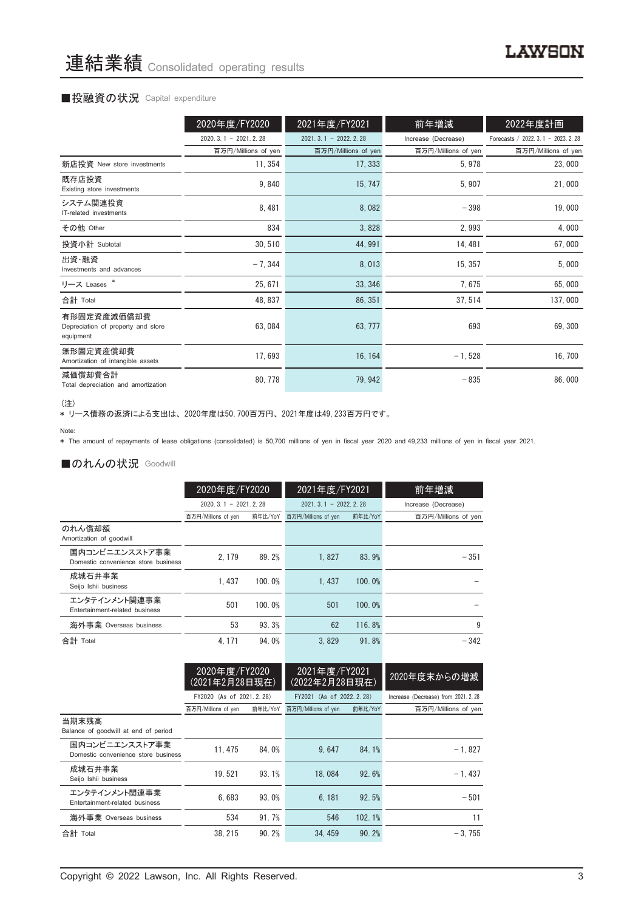#### ■投融資の状況 Capital expenditure

|                                                                | 2020年度/FY2020          | 2021年度/FY2021          | 前年増減                | 2022年度計画                             |
|----------------------------------------------------------------|------------------------|------------------------|---------------------|--------------------------------------|
|                                                                | $2020.3.1 - 2021.2.28$ | $2021.3.1 - 2022.2.28$ | Increase (Decrease) | Forecasts / 2022. 3. 1 - 2023. 2. 28 |
|                                                                | 百万円/Millions of yen    | 百万円/Millions of yen    | 百万円/Millions of yen | 百万円/Millions of yen                  |
| 新店投資 New store investments                                     | 11, 354                | 17, 333                | 5,978               | 23,000                               |
| 既存店投資<br>Existing store investments                            | 9,840                  | 15, 747                | 5,907               | 21,000                               |
| システム関連投資<br>IT-related investments                             | 8,481                  | 8,082                  | $-398$              | 19,000                               |
| その他 Other                                                      | 834                    | 3,828                  | 2,993               | 4,000                                |
| 投資小計 Subtotal                                                  | 30, 510                | 44, 991                | 14, 481             | 67,000                               |
| 出資・融資<br>Investments and advances                              | $-7,344$               | 8,013                  | 15, 357             | 5,000                                |
| リース Leases *                                                   | 25, 671                | 33, 346                | 7,675               | 65,000                               |
| 合計 Total                                                       | 48, 837                | 86, 351                | 37, 514             | 137,000                              |
| 有形固定資産減価償却費<br>Depreciation of property and store<br>equipment | 63,084                 | 63, 777                | 693                 | 69, 300                              |
| 無形固定資産償却費<br>Amortization of intangible assets                 | 17,693                 | 16, 164                | $-1,528$            | 16, 700                              |
| 減価償却費合計<br>Total depreciation and amortization                 | 80, 778                | 79, 942                | $-835$              | 86,000                               |

<sup>(</sup>注)

、一.<br>\* リース債務の返済による支出は、2020年度は50,700百万円、2021年度は49,233百万円です。

\* The amount of repayments of lease obligations (consolidated) is 50,700 millions of yen in fiscal year 2020 and 49,233 millions of yen in fiscal year 2021.

#### ■のれんの状況 Goodwill

|                                                       | 2020年度/FY2020          |         | 2021年度/FY2021              |         | 前年増減                |
|-------------------------------------------------------|------------------------|---------|----------------------------|---------|---------------------|
|                                                       | $2020.3.1 - 2021.2.28$ |         | $2021, 3, 1 - 2022, 2, 28$ |         | Increase (Decrease) |
|                                                       | 百万円/Millions of yen    | 前年比/YoY | 百万円/Millions of yen        | 前年比/YoY | 百万円/Millions of yen |
| のれん償却額<br>Amortization of goodwill                    |                        |         |                            |         |                     |
| 国内コンビニエンスストア事業<br>Domestic convenience store business | 2.179                  | 89.2%   | 1.827                      | 83.9%   | $-351$              |
| 成城石井事業<br>Seijo Ishii business                        | 1.437                  | 100.0%  | 1.437                      | 100.0%  |                     |
| エンタテインメント関連事業<br>Entertainment-related business       | 501                    | 100.0%  | 501                        | 100.0%  |                     |
| 海外事業 Overseas business                                | 53                     | 93.3%   | 62                         | 116.8%  | 9                   |
| 合計 Total                                              | 4.171                  | 94.0%   | 3.829                      | 91.8%   | $-342$              |

|                                                       | 2020年度/FY2020<br>(2021年2月28日現在) |         | 2021年度/FY2021<br>(2022年2月28日現在) |        | 2020年度末からの増減                         |
|-------------------------------------------------------|---------------------------------|---------|---------------------------------|--------|--------------------------------------|
|                                                       | FY2020 (As of 2021.2.28)        |         | FY2021 (As of 2022.2.28)        |        | Increase (Decrease) from 2021. 2. 28 |
|                                                       | 百万円/Millions of yen             | 前年比/YoY | 百万円/Millions of yen<br>前年比/YoY  |        | 百万円/Millions of yen                  |
| 当期末残高<br>Balance of goodwill at end of period         |                                 |         |                                 |        |                                      |
| 国内コンビニエンスストア事業<br>Domestic convenience store business | 11.475                          | 84.0%   | 9.647                           | 84.1%  | $-1.827$                             |
| 成城石井事業<br>Seijo Ishii business                        | 19.521                          | 93.1%   | 18,084                          | 92.6%  | $-1.437$                             |
| エンタテインメント関連事業<br>Entertainment-related business       | 6.683                           | 93.0%   | 6.181                           | 92.5%  | $-501$                               |
| 海外事業 Overseas business                                | 534                             | 91.7%   | 546                             | 102.1% | 11                                   |
| 合計 Total                                              | 38.215                          | 90.2%   | 34.459                          | 90.2%  | $-3.755$                             |

Note: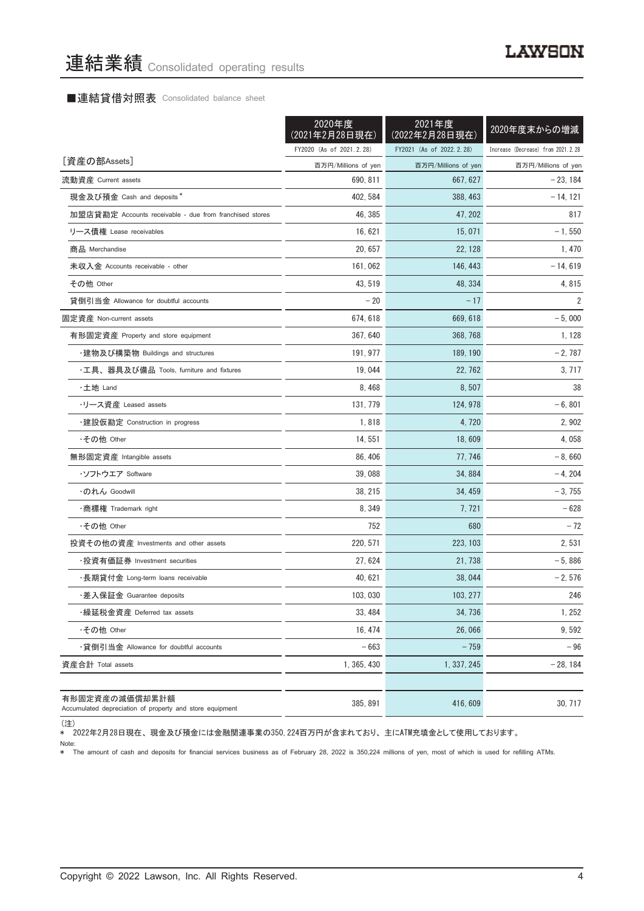#### ■連結貸借対照表 Consolidated balance sheet

|                                                                            | 2020年度<br>(2021年2月28日現在) | 2021年度<br>(2022年2月28日現在) | 2020年度末からの増減                       |
|----------------------------------------------------------------------------|--------------------------|--------------------------|------------------------------------|
|                                                                            | FY2020 (As of 2021.2.28) | FY2021 (As of 2022.2.28) | Increase (Decrease) from 2021.2.28 |
| [資産の部Assets]                                                               | 百万円/Millions of yen      | 百万円/Millions of yen      | 百万円/Millions of yen                |
| 流動資産 Current assets                                                        | 690, 811                 | 667, 627                 | $-23, 184$                         |
| 現金及び預金 Cash and deposits*                                                  | 402, 584                 | 388, 463                 | $-14, 121$                         |
| 加盟店貸勘定 Accounts receivable - due from franchised stores                    | 46, 385                  | 47, 202                  | 817                                |
| リース債権 Lease receivables                                                    | 16, 621                  | 15, 071                  | $-1,550$                           |
| 商品 Merchandise                                                             | 20, 657                  | 22, 128                  | 1, 470                             |
| 未収入金 Accounts receivable - other                                           | 161, 062                 | 146, 443                 | $-14,619$                          |
| その他 Other                                                                  | 43, 519                  | 48, 334                  | 4,815                              |
| 貸倒引当金 Allowance for doubtful accounts                                      | $-20$                    | $-17$                    | 2                                  |
| 固定資産 Non-current assets                                                    | 674, 618                 | 669, 618                 | $-5,000$                           |
| 有形固定資産 Property and store equipment                                        | 367, 640                 | 368, 768                 | 1, 128                             |
| ・建物及び構築物 Buildings and structures                                          | 191, 977                 | 189, 190                 | $-2,787$                           |
| ・工具、器具及び備品 Tools, furniture and fixtures                                   | 19,044                   | 22, 762                  | 3, 717                             |
| ・土地 Land                                                                   | 8,468                    | 8,507                    | 38                                 |
| ・リース資産 Leased assets                                                       | 131.779                  | 124, 978                 | $-6,801$                           |
| ・建設仮勘定 Construction in progress                                            | 1,818                    | 4, 720                   | 2,902                              |
| ・その他 Other                                                                 | 14, 551                  | 18,609                   | 4,058                              |
| 無形固定資産 Intangible assets                                                   | 86, 406                  | 77, 746                  | $-8,660$                           |
| ・ソフトウエア Soffware                                                           | 39,088                   | 34, 884                  | $-4, 204$                          |
| ・のれん Goodwill                                                              | 38, 215                  | 34, 459                  | $-3,755$                           |
| ・商標権 Trademark right                                                       | 8,349                    | 7, 721                   | $-628$                             |
| ・その他 Other                                                                 | 752                      | 680                      | $-72$                              |
| 投資その他の資産 Investments and other assets                                      | 220, 571                 | 223, 103                 | 2,531                              |
| ·投資有価証券 Investment securities                                              | 27, 624                  | 21, 738                  | $-5,886$                           |
| ・長期貸付金 Long-term loans receivable                                          | 40, 621                  | 38, 044                  | $-2,576$                           |
| ・差入保証金 Guarantee deposits                                                  | 103,030                  | 103, 277                 | 246                                |
| ・繰延税金資産 Deferred tax assets                                                | 33, 484                  | 34, 736                  | 1,252                              |
| ・その他 Other                                                                 | 16, 474                  | 26.066                   | 9,592                              |
| ・貸倒引当金 Allowance for doubtful accounts                                     | $-663$                   | $-759$                   | $-96$                              |
| 資産合計 Total assets                                                          | 1, 365, 430              | 1, 337, 245              | $-28, 184$                         |
| 有形固定資産の減価償却累計額<br>Accumulated depreciation of property and store equipment | 385, 891                 | 416.609                  | 30, 717                            |

<sup>(</sup>注)

\* 2022年2月28日現在、 現金及び預金には金融関連事業の350,224百万円が含まれており、 主にATM充填金として使用しております。

Note:

Note:<br>\* The amount of cash and deposits for financial services business as of February 28, 2022 is 350,224 millions of yen, most of which is used for refilling ATMs.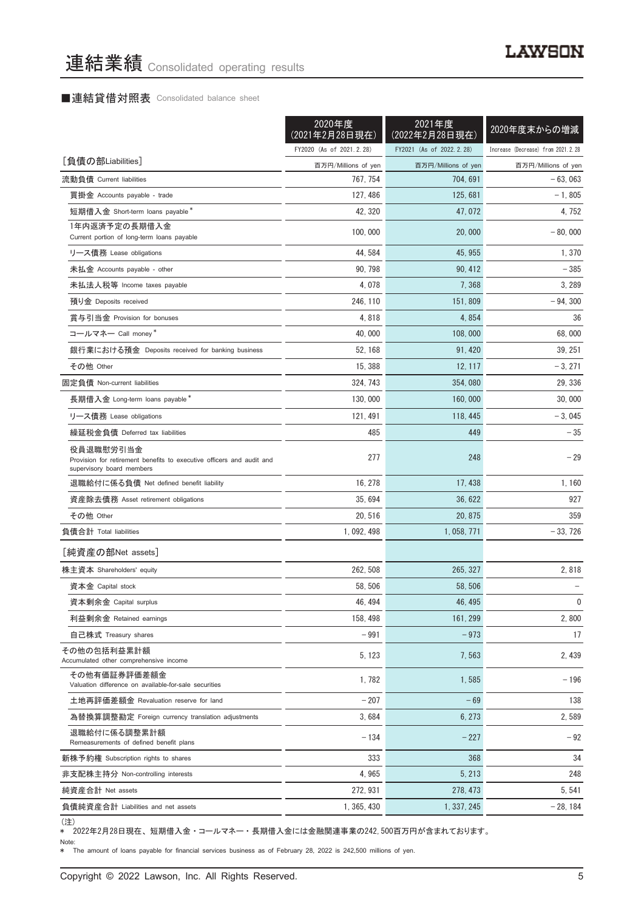## ■連結貸借対照表 Consolidated balance sheet

|                                                                                                                 | 2020年度<br>(2021年2月28日現在) | 2021年度<br>(2022年2月28日現在) | 2020年度末からの増減                       |
|-----------------------------------------------------------------------------------------------------------------|--------------------------|--------------------------|------------------------------------|
|                                                                                                                 | FY2020 (As of 2021.2.28) | FY2021 (As of 2022.2.28) | Increase (Decrease) from 2021.2.28 |
| [負債の部Liabilities]                                                                                               | 百万円/Millions of yen      | 百万円/Millions of yen      | 百万円/Millions of yen                |
| 流動負債 Current liabilities                                                                                        | 767, 754                 | 704, 691                 | $-63,063$                          |
| 買掛金 Accounts payable - trade                                                                                    | 127, 486                 | 125, 681                 | $-1,805$                           |
| 短期借入金 Short-term loans payable*                                                                                 | 42, 320                  | 47, 072                  | 4, 752                             |
| 1年内返済予定の長期借入金<br>Current portion of long-term loans payable                                                     | 100,000                  | 20,000                   | $-80,000$                          |
| リース債務 Lease obligations                                                                                         | 44, 584                  | 45, 955                  | 1,370                              |
| 未払金 Accounts payable - other                                                                                    | 90, 798                  | 90.412                   | $-385$                             |
| 未払法人税等 Income taxes payable                                                                                     | 4,078                    | 7,368                    | 3,289                              |
| 預り金 Deposits received                                                                                           | 246, 110                 | 151,809                  | $-94,300$                          |
| 賞与引当金 Provision for bonuses                                                                                     | 4,818                    | 4,854                    | 36                                 |
| コールマネー Call money*                                                                                              | 40,000                   | 108,000                  | 68,000                             |
| 銀行業における預金 Deposits received for banking business                                                                | 52, 168                  | 91, 420                  | 39, 251                            |
| その他 Other                                                                                                       | 15, 388                  | 12, 117                  | $-3, 271$                          |
| 固定負債 Non-current liabilities                                                                                    | 324, 743                 | 354,080                  | 29, 336                            |
| 長期借入金 Long-term loans payable*                                                                                  | 130,000                  | 160,000                  | 30,000                             |
| リース債務 Lease obligations                                                                                         | 121, 491                 | 118, 445                 | $-3,045$                           |
| 繰延税金負債 Deferred tax liabilities                                                                                 | 485                      | 449                      | $-35$                              |
| 役員退職慰労引当金<br>Provision for retirement benefits to executive officers and audit and<br>supervisory board members | 277                      | 248                      | $-29$                              |
| 退職給付に係る負債 Net defined benefit liability                                                                         | 16, 278                  | 17, 438                  | 1,160                              |
| 資産除去債務 Asset retirement obligations                                                                             | 35,694                   | 36, 622                  | 927                                |
| その他 Other                                                                                                       | 20,516                   | 20, 875                  | 359                                |
| 負債合計 Total liabilities                                                                                          | 1, 092, 498              | 1, 058, 771              | $-33,726$                          |
| [純資産の部Net assets]                                                                                               |                          |                          |                                    |
| 株主資本 Shareholders' equity                                                                                       | 262, 508                 | 265, 327                 | 2,818                              |
| 資本金 Capital stock                                                                                               | 58, 506                  | 58, 506                  |                                    |
| 資本剰余金 Capital surplus                                                                                           | 46, 494                  | 46, 495                  | 0                                  |
| 利益剰余金 Retained earnings                                                                                         | 158, 498                 | 161, 299                 | 2,800                              |
| 自己株式 Treasury shares                                                                                            | $-991$                   | $-973$                   | 17                                 |
| その他の包括利益累計額<br>Accumulated other comprehensive income                                                           | 5, 123                   | 7,563                    | 2,439                              |
| その他有価証券評価差額金<br>Valuation difference on available-for-sale securities                                           | 1,782                    | 1,585                    | $-196$                             |
| 土地再評価差額金 Revaluation reserve for land                                                                           | $-207$                   | $-69$                    | 138                                |
| 為替換算調整勘定 Foreign currency translation adjustments                                                               | 3,684                    | 6, 273                   | 2,589                              |
| 退職給付に係る調整累計額<br>Remeasurements of defined benefit plans                                                         | $-134$                   | $-227$                   | $-92$                              |
| 新株予約権 Subscription rights to shares                                                                             | 333                      | 368                      | 34                                 |
| 非支配株主持分 Non-controlling interests                                                                               | 4,965                    | 5, 213                   | 248                                |
| 純資産合計 Net assets                                                                                                | 272, 931                 | 278, 473                 | 5, 541                             |
| 負債純資産合計 Liabilities and net assets                                                                              | 1, 365, 430              | 1, 337, 245              | $-28, 184$                         |
|                                                                                                                 |                          |                          |                                    |

(注)

\* 2022年2月28日現在、 短期借入金 ・ コールマネー ・ 長期借入金には金融関連事業の242,500百万円が含まれております。

Note: \* The amount of loans payable for financial services business as of February 28, 2022 is 242,500 millions of yen.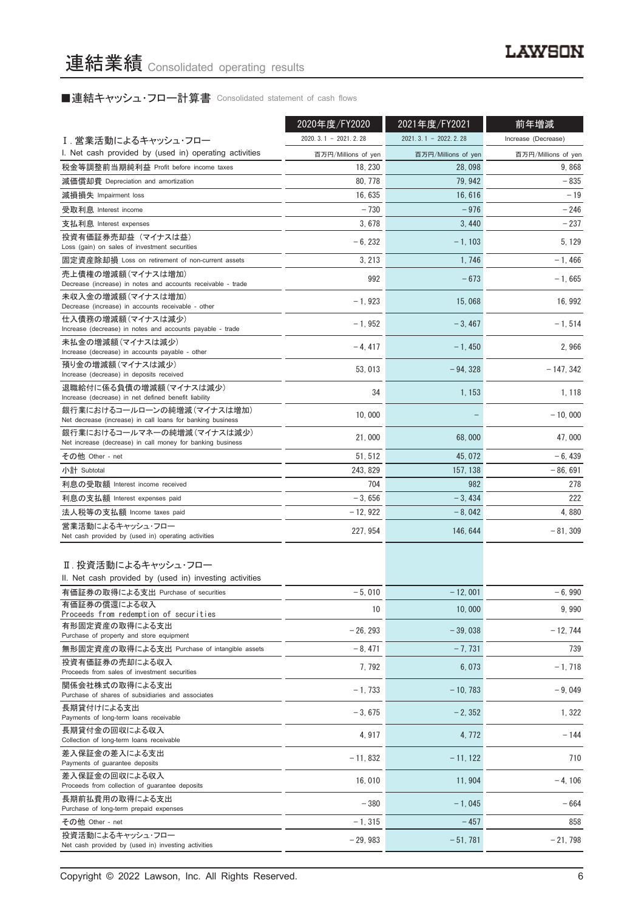■連結キャッシュ・フロー計算書 Consolidated statement of cash flows

|                                                                                          | 2020年度/FY2020          | 2021年度/FY2021          | 前年増減                |  |
|------------------------------------------------------------------------------------------|------------------------|------------------------|---------------------|--|
| I.営業活動によるキャッシュ・フロー                                                                       | $2020.3.1 - 2021.2.28$ | $2021.3.1 - 2022.2.28$ | Increase (Decrease) |  |
| I. Net cash provided by (used in) operating activities                                   | 百万円/Millions of yen    | 百万円/Millions of yen    | 百万円/Millions of yen |  |
| 税金等調整前当期純利益 Profit before income taxes                                                   | 18, 230                | 28,098                 | 9,868               |  |
| 減価償却費 Depreciation and amortization                                                      | 80, 778                | 79, 942                | $-835$              |  |
| 減損損失 Impairment loss                                                                     | 16, 635                | 16,616                 | $-19$               |  |
| 受取利息 Interest income                                                                     | $-730$                 | $-976$                 | $-246$              |  |
| 支払利息 Interest expenses                                                                   | 3,678                  | 3,440                  | $-237$              |  |
| 投資有価証券売却益(マイナスは益)                                                                        |                        |                        |                     |  |
| Loss (gain) on sales of investment securities                                            | $-6.232$               | $-1, 103$              | 5, 129              |  |
| 固定資産除却損 Loss on retirement of non-current assets                                         | 3, 213                 | 1,746                  | - 1.466             |  |
| 売上債権の増減額(マイナスは増加)<br>Decrease (increase) in notes and accounts receivable - trade        | 992                    | $-673$                 | $-1,665$            |  |
| 未収入金の増減額(マイナスは増加)<br>Decrease (increase) in accounts receivable - other                  | $-1,923$               | 15,068                 | 16, 992             |  |
| 仕入債務の増減額(マイナスは減少)<br>Increase (decrease) in notes and accounts payable - trade           | $-1,952$               | $-3,467$               | $-1,514$            |  |
| 未払金の増減額(マイナスは減少)<br>Increase (decrease) in accounts payable - other                      | $-4, 417$              | $-1,450$               | 2,966               |  |
| 預り金の増減額(マイナスは減少)<br>Increase (decrease) in deposits received                             | 53, 013                | $-94, 328$             | $-147, 342$         |  |
| 退職給付に係る負債の増減額(マイナスは減少)<br>Increase (decrease) in net defined benefit liability           | 34                     | 1, 153                 | 1, 118              |  |
| 銀行業におけるコールローンの純増減(マイナスは増加)<br>Net decrease (increase) in call loans for banking business | 10,000                 |                        | $-10,000$           |  |
| 銀行業におけるコールマネーの純増減(マイナスは減少)<br>Net increase (decrease) in call money for banking business | 21,000                 | 68,000                 | 47,000              |  |
| その他 Other - net                                                                          | 51, 512                | 45, 072                | - 6, 439            |  |
| 小計 Subtotal                                                                              | 243, 829               | 157, 138               | $-86,691$           |  |
| 利息の受取額 Interest income received                                                          | 704                    | 982                    | 278                 |  |
| 利息の支払額 Interest expenses paid                                                            | $-3,656$               | $-3,434$               | 222                 |  |
| 法人税等の支払額 Income taxes paid                                                               | $-12,922$              | $-8,042$               | 4,880               |  |
| 営業活動によるキャッシュ・フロー                                                                         |                        |                        |                     |  |
| Net cash provided by (used in) operating activities                                      | 227, 954               | 146, 644               | $-81,309$           |  |
| Ⅱ. 投資活動によるキャッシュ・フロー<br>II. Net cash provided by (used in) investing activities           |                        |                        |                     |  |
| 有価証券の取得による支出 Purchase of securities                                                      | $-5,010$               | $-12,001$              | $-6,990$            |  |
| 有価証券の償還による収入<br>Proceeds from redemption of securities                                   | 10                     | 10,000                 | 9,990               |  |
| 有形固定資産の取得による支出                                                                           |                        | $-39.038$              |                     |  |
| Purchase of property and store equipment                                                 | $-26, 293$             |                        | $-12, 744$          |  |
| 無形固定資産の取得による支出 Purchase of intangible assets                                             | $-8,471$               | $-7,731$               | 739                 |  |
| 投資有価証券の売却による収入<br>Proceeds from sales of investment securities                           | 7,792                  | 6.073                  | $-1,718$            |  |
| 関係会社株式の取得による支出<br>Purchase of shares of subsidiaries and associates                      | $-1,733$               | $-10, 783$             | $-9.049$            |  |
| 長期貸付けによる支出<br>Payments of long-term loans receivable                                     | $-3,675$               | $-2, 352$              | 1, 322              |  |
| 長期貸付金の回収による収入<br>Collection of long-term loans receivable                                | 4,917                  | 4, 772                 | $-144$              |  |
| 差入保証金の差入による支出<br>Payments of guarantee deposits                                          | $-11,832$              | $-11, 122$             | 710                 |  |
| 差入保証金の回収による収入<br>Proceeds from collection of guarantee deposits                          | 16,010                 | 11, 904                | $-4, 106$           |  |
| 長期前払費用の取得による支出<br>Purchase of long-term prepaid expenses                                 | $-380$                 | $-1,045$               | $-664$              |  |
| その他 Other - net                                                                          | $-1, 315$              | $-457$                 | 858                 |  |
| 投資活動によるキャッシュ・フロー<br>Net cash provided by (used in) investing activities                  | $-29,983$              | $-51,781$              | $-21,798$           |  |

Copyright © 2022 Lawson, Inc. All Rights Reserved. 6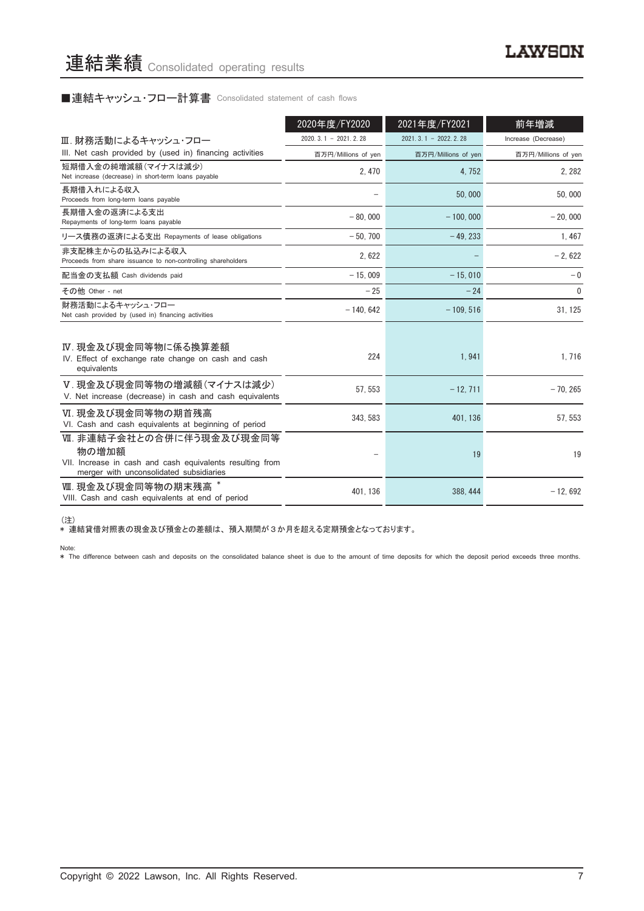#### ■連結キャッシュ・フロー計算書 Consolidated statement of cash flows

|                                                                                                                                           | 2020年度/FY2020          | 2021年度/FY2021          | 前年増減                |
|-------------------------------------------------------------------------------------------------------------------------------------------|------------------------|------------------------|---------------------|
| Ⅲ. 財務活動によるキャッシュ・フロー                                                                                                                       | $2020.3.1 - 2021.2.28$ | $2021.3.1 - 2022.2.28$ | Increase (Decrease) |
| III. Net cash provided by (used in) financing activities                                                                                  | 百万円/Millions of yen    | 百万円/Millions of yen    | 百万円/Millions of yen |
| 短期借入金の純増減額(マイナスは減少)<br>Net increase (decrease) in short-term loans payable                                                                | 2,470                  | 4,752                  | 2, 282              |
| 長期借入れによる収入<br>Proceeds from long-term loans payable                                                                                       |                        | 50,000                 | 50,000              |
| 長期借入金の返済による支出<br>Repayments of long-term loans payable                                                                                    | $-80,000$              | $-100.000$             | $-20,000$           |
| リース債務の返済による支出 Repayments of lease obligations                                                                                             | $-50.700$              | $-49.233$              | 1,467               |
| 非支配株主からの払込みによる収入<br>Proceeds from share issuance to non-controlling shareholders                                                          | 2,622                  |                        | $-2,622$            |
| 配当金の支払額 Cash dividends paid                                                                                                               | $-15.009$              | $-15.010$              | $-0$                |
| その他 Other - net                                                                                                                           | $-25$                  | $-24$                  | $\mathbf{0}$        |
| 財務活動によるキャッシュ・フロー<br>Net cash provided by (used in) financing activities                                                                   | $-140,642$             | $-109, 516$            | 31, 125             |
| Ⅳ. 現金及び現金同等物に係る換算差額<br>IV. Effect of exchange rate change on cash and cash<br>equivalents                                                 | 224                    | 1,941                  | 1,716               |
| V. 現金及び現金同等物の増減額 (マイナスは減少)<br>V. Net increase (decrease) in cash and cash equivalents                                                     | 57, 553                | $-12, 711$             | $-70.265$           |
| Ⅵ. 現金及び現金同等物の期首残高<br>VI. Cash and cash equivalents at beginning of period                                                                 | 343, 583               | 401, 136               | 57, 553             |
| Ⅶ. 非連結子会社との合併に伴う現金及び現金同等<br>物の増加額<br>VII. Increase in cash and cash equivalents resulting from<br>merger with unconsolidated subsidiaries |                        | 19                     | 19                  |
| Ⅲ. 現金及び現金同等物の期末残高 *<br>VIII. Cash and cash equivalents at end of period                                                                   | 401, 136               | 388, 444               | $-12,692$           |

(注)

\* 連結貸借対照表の現金及び預金との差額は、 預入期間が3か月を超える定期預金となっております。

Note:

\*\* The difference between cash and deposits on the consolidated balance sheet is due to the amount of time deposits for which the deposit period exceeds three months.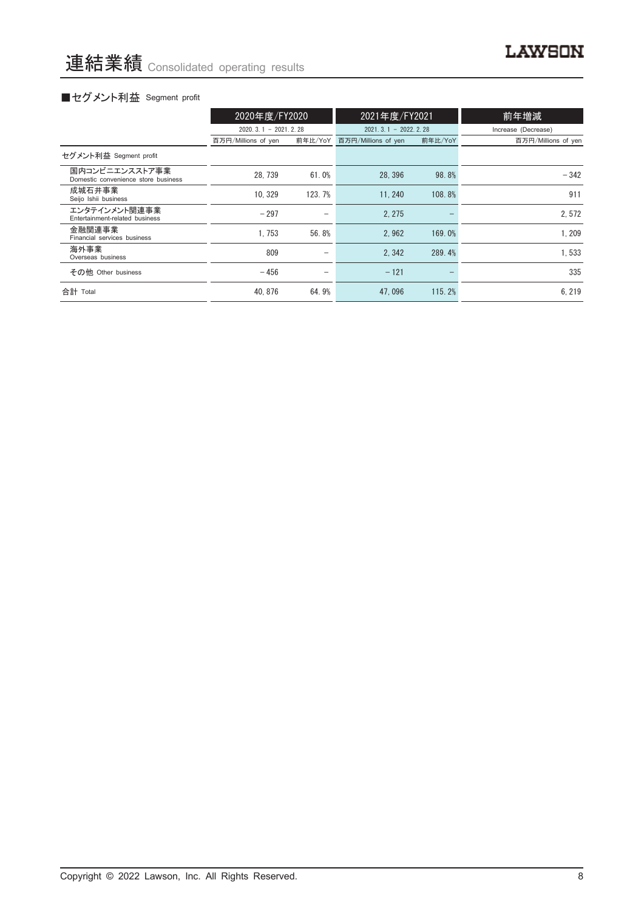## ■セグメント利益 Segment profit

|                                                       | 2020年度/FY2020          |                          | 2021年度/FY2021          |         | 前年増減                |  |
|-------------------------------------------------------|------------------------|--------------------------|------------------------|---------|---------------------|--|
|                                                       | $2020.3.1 - 2021.2.28$ |                          | $2021.3.1 - 2022.2.28$ |         | Increase (Decrease) |  |
|                                                       | 百万円/Millions of yen    | 前年比/YoY                  | 百万円/Millions of yen    | 前年比/YoY | 百万円/Millions of yen |  |
| セグメント利益 Segment profit                                |                        |                          |                        |         |                     |  |
| 国内コンビニエンスストア事業<br>Domestic convenience store business | 28.739                 | 61.0%                    | 28.396                 | 98.8%   | $-342$              |  |
| 成城石井事業<br>Seijo Ishii business                        | 10.329                 | 123.7%                   | 11.240                 | 108.8%  | 911                 |  |
| エンタテインメント関連事業<br>Entertainment-related business       | $-297$                 |                          | 2.275                  |         | 2.572               |  |
| 金融関連事業<br>Financial services business                 | 1.753                  | 56.8%                    | 2.962                  | 169.0%  | 1.209               |  |
| 海外事業<br>Overseas business                             | 809                    | -                        | 2.342                  | 289.4%  | 1,533               |  |
| その他 Other business                                    | $-456$                 | $\overline{\phantom{m}}$ | $-121$                 |         | 335                 |  |
| 合計 Total                                              | 40.876                 | 64.9%                    | 47.096                 | 115.2%  | 6.219               |  |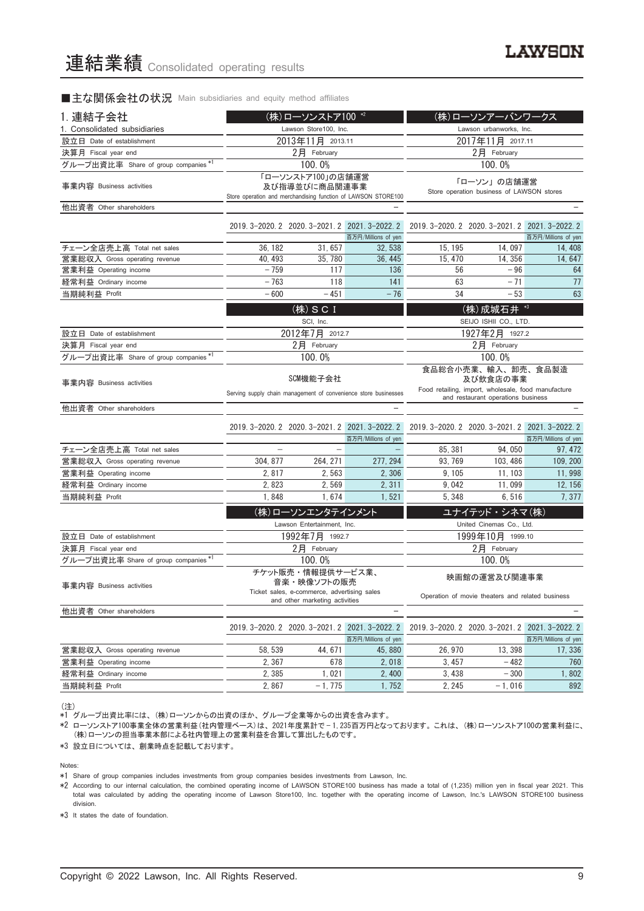#### ■主な関係会社の状況 Main subsidiaries and equity method affiliates

| 1. 連結子会社                                               |                                                                                                     | (株)ローソンストア100 *2                                                                                                  |                                                                        |                                                                                       | (株)ローソンアーバンワークス                                                  |                               |  |
|--------------------------------------------------------|-----------------------------------------------------------------------------------------------------|-------------------------------------------------------------------------------------------------------------------|------------------------------------------------------------------------|---------------------------------------------------------------------------------------|------------------------------------------------------------------|-------------------------------|--|
| 1. Consolidated subsidiaries                           | Lawson Store100, Inc.                                                                               |                                                                                                                   |                                                                        | Lawson urbanworks, Inc.                                                               |                                                                  |                               |  |
| 設立日 Date of establishment                              | 2013年11月 2013.11                                                                                    |                                                                                                                   |                                                                        | 2017年11月 2017.11                                                                      |                                                                  |                               |  |
| 決算月 Fiscal year end                                    | 2月 February                                                                                         |                                                                                                                   |                                                                        | 2月 February                                                                           |                                                                  |                               |  |
| グループ出資比率 Share of group companies*                     |                                                                                                     | 100.0%                                                                                                            |                                                                        |                                                                                       | 100.0%                                                           |                               |  |
| 事業内容 Business activities                               | 「ローソンストア100」の店舗運営<br>及び指導並びに商品関連事業<br>Store operation and merchandising function of LAWSON STORE100 |                                                                                                                   |                                                                        | 「ローソン」の店舗運営<br>Store operation business of LAWSON stores                              |                                                                  |                               |  |
| 他出資者 Other shareholders                                |                                                                                                     |                                                                                                                   |                                                                        |                                                                                       |                                                                  |                               |  |
|                                                        |                                                                                                     |                                                                                                                   | 2019. 3-2020. 2 2020. 3-2021. 2 2021. 3-2022. 2<br>百万円/Millions of yen |                                                                                       | 2019. 3-2020. 2 2020. 3-2021. 2 2021. 3-2022. 2                  | 百万円/Millions of yen           |  |
| チェーン全店売上高 Total net sales                              | 36, 182                                                                                             | 31,657                                                                                                            | 32, 538                                                                | 15, 195                                                                               | 14,097                                                           | 14, 408                       |  |
| 営業総収入 Gross operating revenue                          | 40.493                                                                                              | 35.780                                                                                                            | 36.445                                                                 | 15.470                                                                                | 14.356                                                           | 14.647                        |  |
| 営業利益 Operating income                                  | $-759$                                                                                              | 117                                                                                                               | 136                                                                    | 56                                                                                    | $-96$                                                            | 64                            |  |
| 経常利益 Ordinary income                                   | $-763$                                                                                              | 118                                                                                                               | 141                                                                    | 63                                                                                    | $-71$                                                            | 77                            |  |
| 当期純利益 Profit                                           | $-600$                                                                                              | $-451$                                                                                                            | $-76$                                                                  | 34                                                                                    | $-53$                                                            | 63                            |  |
|                                                        | (株) SCI<br>SCI, Inc.                                                                                |                                                                                                                   |                                                                        | (株) 成城石井 *3<br>SEIJO ISHII CO., LTD.                                                  |                                                                  |                               |  |
| 設立日 Date of establishment                              |                                                                                                     | 2012年7月 2012.7                                                                                                    |                                                                        | 1927年2月 1927.2                                                                        |                                                                  |                               |  |
| 決算月 Fiscal year end                                    | 2月 February                                                                                         |                                                                                                                   |                                                                        | 2月 February                                                                           |                                                                  |                               |  |
| グループ出資比率 Share of group companies*1                    |                                                                                                     | 100.0%                                                                                                            |                                                                        | 100.0%                                                                                |                                                                  |                               |  |
| 事業内容 Business activities                               |                                                                                                     | SCM機能子会社                                                                                                          | Serving supply chain management of convenience store businesses        | 食品総合小売業、輸入、卸売、食品製造<br>及び飲食店の事業<br>Food retailing, import, wholesale, food manufacture |                                                                  |                               |  |
| 他出資者 Other shareholders                                |                                                                                                     |                                                                                                                   |                                                                        |                                                                                       | and restaurant operations business                               |                               |  |
|                                                        |                                                                                                     |                                                                                                                   |                                                                        |                                                                                       |                                                                  |                               |  |
|                                                        |                                                                                                     |                                                                                                                   | 2019. 3-2020. 2 2020. 3-2021. 2 2021. 3-2022. 2                        |                                                                                       | 2019. 3-2020. 2 2020. 3-2021. 2 2021. 3-2022. 2                  |                               |  |
|                                                        |                                                                                                     |                                                                                                                   | 百万円/Millions of yen                                                    |                                                                                       |                                                                  | 百万円/Millions of yen           |  |
| チェーン全店売上高 Total net sales                              |                                                                                                     |                                                                                                                   |                                                                        | 85, 381                                                                               | 94,050                                                           | 97, 472                       |  |
| 営業総収入 Gross operating revenue                          | 304, 877                                                                                            | 264, 271                                                                                                          | 277, 294                                                               | 93, 769                                                                               | 103, 486                                                         | 109, 200                      |  |
| 営業利益 Operating income                                  | 2,817                                                                                               | 2,563                                                                                                             | 2,306                                                                  | 9, 105                                                                                | 11, 103                                                          | 11,998                        |  |
| 経常利益 Ordinary income                                   | 2,823                                                                                               | 2.569                                                                                                             | 2, 311                                                                 | 9.042                                                                                 | 11,099                                                           | 12, 156                       |  |
| 当期純利益 Profit                                           | 1,848                                                                                               | 1,674                                                                                                             | 1,521                                                                  | 5,348                                                                                 | 6,516                                                            | 7,377                         |  |
|                                                        |                                                                                                     | (株)ローソンエンタテインメント                                                                                                  |                                                                        |                                                                                       | ユナイテッド・シネマ(株)                                                    |                               |  |
|                                                        |                                                                                                     | Lawson Entertainment, Inc.                                                                                        |                                                                        |                                                                                       | United Cinemas Co., Ltd.                                         |                               |  |
| 設立日 Date of establishment                              |                                                                                                     | 1992年7月 1992.7                                                                                                    |                                                                        |                                                                                       | 1999年10月 1999.10                                                 |                               |  |
| 決算月 Fiscal year end                                    |                                                                                                     | 2月 February                                                                                                       |                                                                        |                                                                                       | $2$ 月 February                                                   |                               |  |
| グループ出資比率 Share of group companies *1                   |                                                                                                     | 100.0%                                                                                                            |                                                                        |                                                                                       | 100.0%                                                           |                               |  |
| 事業内容 Business activities                               |                                                                                                     | チケット販売・情報提供サービス業、<br>音楽・映像ソフトの販売<br>Ticket sales, e-commerce, advertising sales<br>and other marketing activities |                                                                        |                                                                                       | 映画館の運営及び関連事業<br>Operation of movie theaters and related business |                               |  |
| 他出資者 Other shareholders                                |                                                                                                     |                                                                                                                   | $\overline{\phantom{0}}$                                               |                                                                                       |                                                                  |                               |  |
|                                                        |                                                                                                     |                                                                                                                   | 2019. 3-2020. 2 2020. 3-2021. 2 2021. 3-2022. 2                        |                                                                                       | 2019. 3-2020. 2 2020. 3-2021. 2 2021. 3-2022. 2                  |                               |  |
|                                                        | 58, 539                                                                                             | 44, 671                                                                                                           | 百万円/Millions of yen<br>45.880                                          | 26, 970                                                                               | 13, 398                                                          | 百万円/Millions of yen<br>17.336 |  |
| 営業総収入 Gross operating revenue<br>営業利益 Operating income | 2,367                                                                                               | 678                                                                                                               | 2,018                                                                  | 3, 457                                                                                | $-482$                                                           | 760                           |  |
|                                                        |                                                                                                     |                                                                                                                   |                                                                        |                                                                                       |                                                                  |                               |  |

(注)

\*1 グループ出資比率には、 (株)ローソンからの出資のほか、 グループ企業等からの出資を含みます。

\*2 ローソンストア100事業全体の営業利益(社内管理ベース)は、 2021年度累計で — 1,235百万円となっております。 これは、 (株)ローソンストア100の営業利益に、 (株)ローソンの担当事業本部による社内管理上の営業利益を合算して算出したものです。

経常利益 Ordinary income 2,385 1,021 2,400 3,438 — 300 1,802 当期純利益 Profit 2,867 — 1,775 1,752 2,245 — 1,016 892

\*3 設立日については、 創業時点を記載しております。

Notes:

\*1 Share of group companies includes investments from group companies besides investments from Lawson, Inc.

\*2 According to our internal calculation, the combined operating income of LAWSON STORE100 business has made a total of (1,235) million yen in fiscal year 2021. This total was calculated by adding the operating income of Lawson Store100, Inc. together with the operating income of Lawson, Inc.'s LAWSON STORE100 business division.

\*3 It states the date of foundation.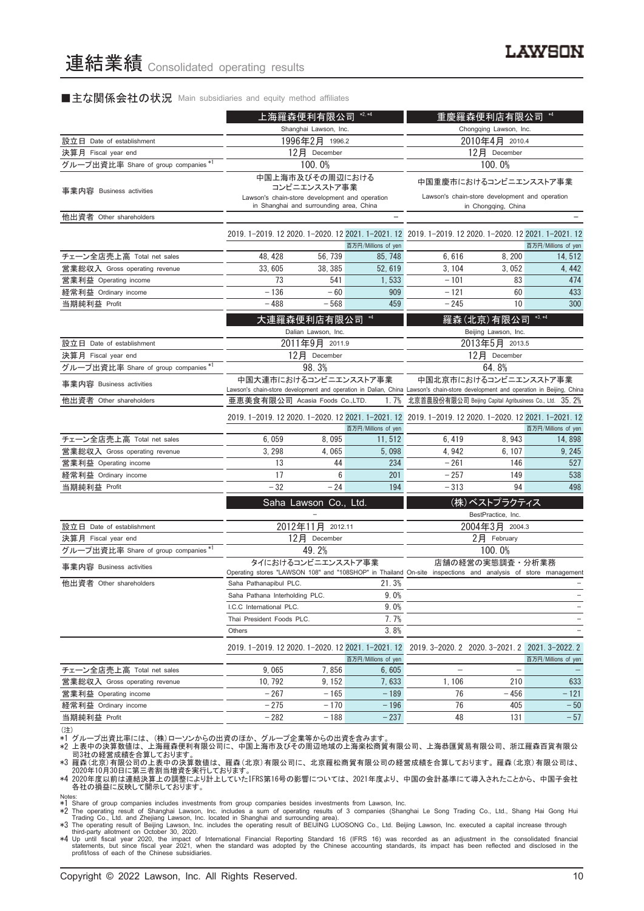#### ■主な関係会社の状況 Main subsidiaries and equity method affiliates

|                                                        | 上海羅森便利有限公司                                                                                                                       | $*2, *4$                                | <b>憂羅森便利店有限公司</b>              |                                                         |                                                                       |                               |
|--------------------------------------------------------|----------------------------------------------------------------------------------------------------------------------------------|-----------------------------------------|--------------------------------|---------------------------------------------------------|-----------------------------------------------------------------------|-------------------------------|
|                                                        | Shanghai Lawson, Inc.                                                                                                            |                                         |                                | Chongqing Lawson, Inc.                                  |                                                                       |                               |
| 設立日 Date of establishment                              | 1996年2月 1996.2                                                                                                                   |                                         |                                | 2010年4月 2010.4                                          |                                                                       |                               |
| 決算月 Fiscal year end                                    | 12月 December                                                                                                                     |                                         |                                | 12月 December                                            |                                                                       |                               |
| グループ出資比率 Share of group companies *1                   |                                                                                                                                  | 100.0%                                  |                                |                                                         | 100.0%                                                                |                               |
| 事業内容 Business activities                               |                                                                                                                                  | 中国上海市及びその周辺における<br>コンビニエンスストア事業         |                                |                                                         | 中国重慶市におけるコンビニエンスストア事業                                                 |                               |
|                                                        | Lawson's chain-store development and operation                                                                                   | in Shanghai and surrounding area, China |                                |                                                         | Lawson's chain-store development and operation<br>in Chongqing, China |                               |
| 他出資者 Other shareholders                                |                                                                                                                                  |                                         |                                |                                                         |                                                                       |                               |
|                                                        | 2019. 1-2019. 12 2020. 1-2020. 12 2021. 1-2021. 12 2019. 1-2019. 12 2020. 1-2020. 12 2021. 1-2021. 12                            |                                         | 百万円/Millions of yen            |                                                         |                                                                       | 百万円/Millions of yen           |
| チェーン全店売上高 Total net sales                              | 48, 428                                                                                                                          | 56,739                                  | 85, 748                        | 6,616                                                   | 8,200                                                                 | 14, 512                       |
| 営業総収入 Gross operating revenue                          | 33.605                                                                                                                           | 38, 385                                 | 52, 619                        | 3, 104                                                  | 3.052                                                                 | 4, 442                        |
| 営業利益 Operating income                                  | 73                                                                                                                               | 541                                     | 1,533                          | $-101$                                                  | 83                                                                    | 474                           |
| 経常利益 Ordinary income                                   | $-136$                                                                                                                           | $-60$                                   | 909                            | $-121$                                                  | 60                                                                    | 433                           |
| 当期純利益 Profit                                           | $-488$                                                                                                                           | $-568$                                  | 459                            | $-245$                                                  | 10                                                                    | 300                           |
|                                                        |                                                                                                                                  | 大連羅森便利店有限公司                             | $*4$                           |                                                         | 羅森(北京)有限公司                                                            | $*3, *4$                      |
| 設立日 Date of establishment                              |                                                                                                                                  | Dalian Lawson, Inc.<br>2011年9月 2011.9   |                                |                                                         | Beijing Lawson, Inc.<br>2013年5月 2013.5                                |                               |
| 決算月 Fiscal year end                                    |                                                                                                                                  | 12月 December                            |                                |                                                         | 12月 December                                                          |                               |
| グループ出資比率 Share of group companies *1                   |                                                                                                                                  | 98.3%                                   |                                |                                                         | 64.8%                                                                 |                               |
|                                                        | 中国大連市におけるコンビニエンスストア事業                                                                                                            |                                         |                                | 中国北京市におけるコンビニエンスストア事業                                   |                                                                       |                               |
| 事業内容 Business activities                               | Lawson's chain-store development and operation in Dalian, China Lawson's chain-store development and operation in Beijing, China |                                         |                                |                                                         |                                                                       |                               |
| 他出資者 Other shareholders                                | 亜恵美食有限公司 Acasia Foods Co.,LTD.<br>1.7%                                                                                           |                                         |                                | 北京首農股份有限公司 Beijing Capital Agribusiness Co., Ltd. 35.2% |                                                                       |                               |
|                                                        | 2019. 1-2019. 12 2020. 1-2020. 12 2021. 1-2021. 12 2019. 1-2019. 12 2020. 1-2020. 12 2021. 1-2021. 12                            |                                         |                                |                                                         |                                                                       |                               |
| チェーン全店売上高 Total net sales                              | 6,059                                                                                                                            | 8,095                                   | 百万円/Millions of yen<br>11, 512 | 6,419                                                   | 8,943                                                                 | 百万円/Millions of yen<br>14,898 |
| 営業総収入 Gross operating revenue                          | 3, 298                                                                                                                           | 4,065                                   | 5,098                          | 4,942                                                   | 6, 107                                                                | 9, 245                        |
| 営業利益 Operating income                                  | 13                                                                                                                               | 44                                      | 234                            | $-261$                                                  | 146                                                                   | 527                           |
| 経常利益 Ordinary income                                   | 17                                                                                                                               | 6                                       | 201                            | $-257$                                                  | 149                                                                   | 538                           |
| 当期純利益 Profit                                           | $-32$                                                                                                                            | $-24$                                   | 194                            | $-313$                                                  | 94                                                                    | 498                           |
|                                                        |                                                                                                                                  |                                         |                                |                                                         | (株)ベストプラクティス                                                          |                               |
|                                                        |                                                                                                                                  | Saha Lawson Co., Ltd.                   |                                |                                                         | BestPractice, Inc.                                                    |                               |
| 設立日 Date of establishment                              |                                                                                                                                  | 2012年11月 2012.11                        |                                |                                                         | 2004年3月 2004.3                                                        |                               |
| 決算月 Fiscal year end                                    |                                                                                                                                  | 12月 December                            |                                |                                                         | $2$ 月 February                                                        |                               |
| グループ出資比率 Share of group companies *1                   |                                                                                                                                  | 49.2%                                   |                                |                                                         | 100.0%                                                                |                               |
|                                                        |                                                                                                                                  | タイにおけるコンビニエンスストア事業                      |                                |                                                         | 店舗の経営の実態調査・分析業務                                                       |                               |
| 事業内容 Business activities                               | Operating stores "LAWSON 108" and "108SHOP" in Thailand On-site inspections and analysis of store management                     |                                         |                                |                                                         |                                                                       |                               |
| 他出資者 Other shareholders                                | Saha Pathanapibul PLC.                                                                                                           |                                         | 21.3%                          |                                                         |                                                                       |                               |
|                                                        | Saha Pathana Interholding PLC.                                                                                                   |                                         | 9.0%                           |                                                         |                                                                       |                               |
|                                                        | I.C.C International PLC.                                                                                                         |                                         | 9.0%                           |                                                         |                                                                       | $\overline{\phantom{0}}$      |
|                                                        | Thai President Foods PLC.                                                                                                        |                                         | 7.7%                           |                                                         |                                                                       |                               |
|                                                        | Others                                                                                                                           |                                         | 3.8%                           |                                                         |                                                                       |                               |
|                                                        | 2019. 1-2019. 12 2020. 1-2020. 12 2021. 1-2021. 12                                                                               |                                         |                                | 2019. 3-2020. 2 2020. 3-2021. 2 2021. 3-2022. 2         |                                                                       |                               |
|                                                        | 9,065                                                                                                                            | 7,856                                   | 百万円/Millions of yen            | $\overline{\phantom{0}}$                                | $\overline{\phantom{0}}$                                              | 百万円/Millions of yen           |
| チェーン全店売上高 Total net sales                              | 10, 792                                                                                                                          | 9, 152                                  | 6,605<br>7,633                 | 1,106                                                   | 210                                                                   | 633                           |
| 営業総収入 Gross operating revenue<br>営業利益 Operating income | $-267$                                                                                                                           | $-165$                                  | $-189$                         | 76                                                      | $-456$                                                                | $-121$                        |
| 経常利益 Ordinary income                                   | $-275$                                                                                                                           | $-170$                                  | $-196$                         | 76                                                      | 405                                                                   | $-50$                         |
| 当期純利益 Profit                                           | $-282$                                                                                                                           | $-188$                                  | $-237$                         | 48                                                      | 131                                                                   | $-57$                         |
|                                                        |                                                                                                                                  |                                         |                                |                                                         |                                                                       |                               |

<sup>(</sup>注)

\*1 グループ出資比率には、(株)ローソンからの出資のほか、グループ企業等からの出資を含みます。<br>\*2 上表中の決算数値は、上海羅森便利有限公司に、中国上海市及びその周辺地域の上海楽松商貿有限公司、上海恭匯貿易有限公司、浙江羅森百貨有限公<br>\*2 記れの経営成績を合算しております。<br>\*3 羅森(北京)有限公司の上表中の決算数値は、羅森(北京)有限公司に、北京羅松商貿有限公司の経営成績を合算しております。羅森(北京)有限公司は、

2020年10月30日に第三者割当増資を実行しております。 \*4 2020年度以前は連結決算上の調整により計上していたIFRS第16号の影響については、 2021年度より、 中国の会計基準にて導入されたことから、 中国子会社 各社の損益に反映して開示しております。

Notes:<br>
\*1 Share of group companies includes investments from group companies besides investments from Lawson, Inc.<br>
\*2 The operating result of Shanghai Lawson, Inc. includes a sum of operating results of 3 companies (Shan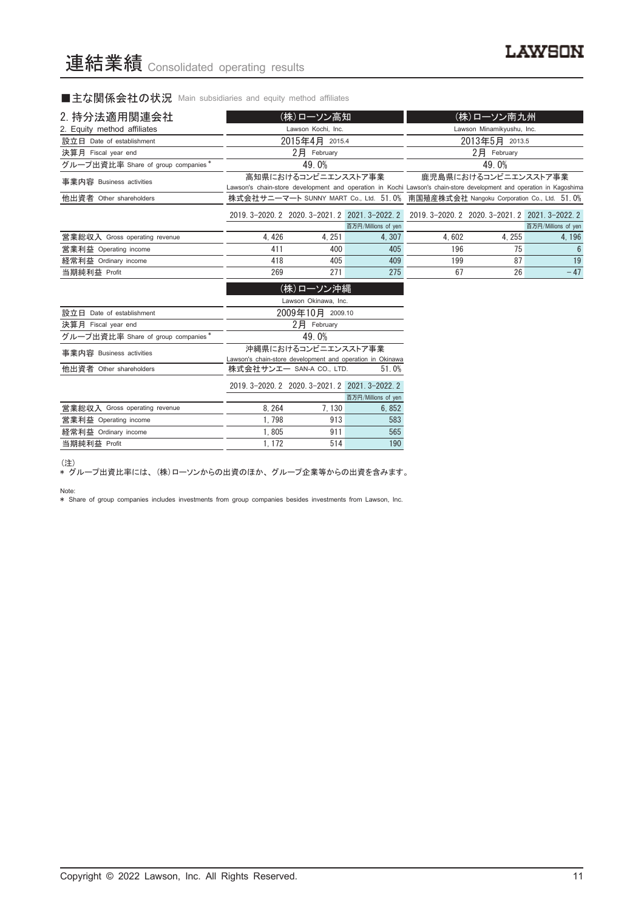■主な関係会社の状況 Main subsidiaries and equity method affiliates

| 2. 持分法適用関連会社                       | (株)ローソン高知 |                                                                                 |                                                           |                                                                                                                     | (株)ローソン南九州                                      |                     |
|------------------------------------|-----------|---------------------------------------------------------------------------------|-----------------------------------------------------------|---------------------------------------------------------------------------------------------------------------------|-------------------------------------------------|---------------------|
| 2. Equity method affiliates        |           | Lawson Kochi, Inc.                                                              |                                                           |                                                                                                                     | Lawson Minamikyushu, Inc.                       |                     |
| 設立日 Date of establishment          |           | 2015年4月 2015.4                                                                  |                                                           |                                                                                                                     | 2013年5月 2013.5                                  |                     |
| 決算月 Fiscal year end                |           | $2$ 月 February                                                                  |                                                           |                                                                                                                     | $2$ $\mathbf{F}$ February                       |                     |
| グループ出資比率 Share of group companies* |           | 49.0%                                                                           |                                                           |                                                                                                                     | 49.0%                                           |                     |
| 事業内容 Business activities           |           | 高知県におけるコンビニエンスストア事業                                                             |                                                           | Lawson's chain-store development and operation in Kochi Lawson's chain-store development and operation in Kagoshima | 鹿児島県におけるコンビニエンスストア事業                            |                     |
| 他出資者 Other shareholders            |           |                                                                                 |                                                           | 株式会社サニーマート SUNNY MART Co., Ltd. 51.0% 南国殖産株式会社 Nangoku Corporation Co., Ltd. 51.0%                                  |                                                 |                     |
|                                    |           |                                                                                 | 2019. 3-2020. 2 2020. 3-2021. 2 2021. 3-2022. 2           |                                                                                                                     | 2019. 3-2020. 2 2020. 3-2021. 2 2021. 3-2022. 2 |                     |
|                                    |           |                                                                                 | 百万円/Millions of yen                                       |                                                                                                                     |                                                 | 百万円/Millions of yen |
| 営業総収入 Gross operating revenue      | 4,426     | 4, 251                                                                          | 4,307                                                     | 4,602                                                                                                               | 4, 255                                          | 4, 196              |
| 営業利益 Operating income              | 411       | 400                                                                             | 405                                                       | 196                                                                                                                 | 75                                              | $6\phantom{1}6$     |
| 経常利益 Ordinary income               | 418       | 405                                                                             | 409                                                       | 199                                                                                                                 | 87                                              | 19                  |
| 当期純利益 Profit                       | 269       | 271                                                                             | 275                                                       | 67                                                                                                                  | 26                                              | $-47$               |
|                                    |           | (株)ローソン沖縄                                                                       |                                                           |                                                                                                                     |                                                 |                     |
|                                    |           | Lawson Okinawa, Inc.                                                            |                                                           |                                                                                                                     |                                                 |                     |
| 設立日 Date of establishment          |           | 2009年10月 2009.10                                                                |                                                           |                                                                                                                     |                                                 |                     |
| 決算月 Fiscal year end                |           | $2$ 月 February                                                                  |                                                           |                                                                                                                     |                                                 |                     |
| グループ出資比率 Share of group companies* |           | 49.0%                                                                           |                                                           |                                                                                                                     |                                                 |                     |
| 事業内容 Business activities           |           | 沖縄県におけるコンビニエンスストア事業                                                             | Lawson's chain-store development and operation in Okinawa |                                                                                                                     |                                                 |                     |
| 他出資者 Other shareholders            |           | 株式会社サンエー SAN-A CO., LTD.                                                        | 51.0%                                                     |                                                                                                                     |                                                 |                     |
|                                    |           | the contract of the contract of the contract of the contract of the contract of |                                                           |                                                                                                                     |                                                 |                     |

|                               |       | 2019 3-2020 2 2020 3-2021 2 2021 3-2022 2 |                     |
|-------------------------------|-------|-------------------------------------------|---------------------|
|                               |       |                                           | 百万円/Millions of yen |
| 営業総収入 Gross operating revenue | 8.264 | 7.130                                     | 6.852               |
| 営業利益 Operating income         | 1.798 | 913                                       | 583                 |
| 経常利益 Ordinary income          | 1.805 | 911                                       | 565                 |
| 当期純利益 Profit                  | 1 172 | 514                                       | 190                 |

(注)

\* グループ出資比率には、 (株)ローソンからの出資のほか、 グループ企業等からの出資を含みます。

Note:

\* Share of group companies includes investments from group companies besides investments from Lawson, Inc.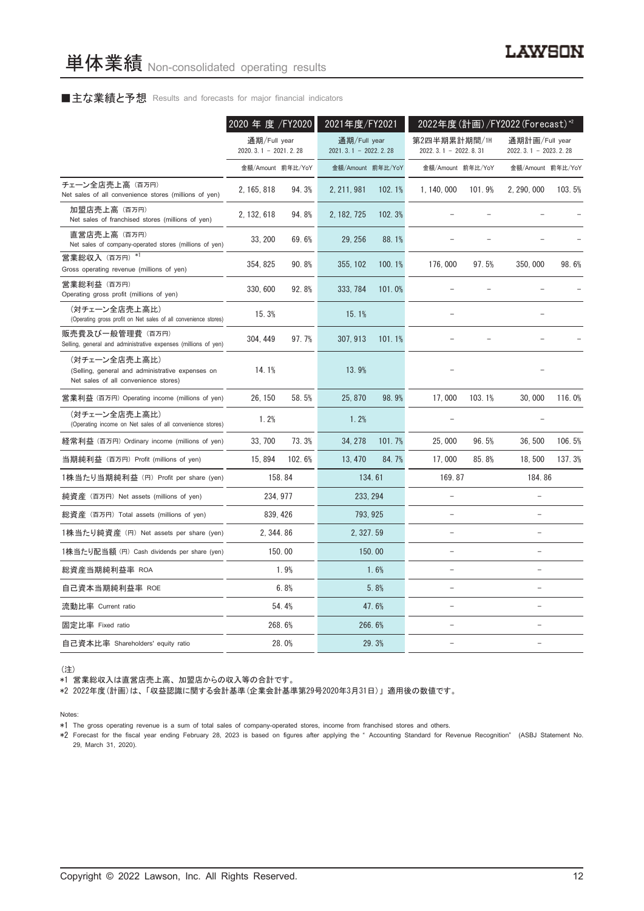#### ■主な業績と予想 Results and forecasts for major financial indicators

|                                                                                                           | 2020 年 度 /FY2020                       |        | 2021年度/FY2021                          |        |                                        |        | 2022年度(計画)/FY2022 (Forecast) <sup>*2</sup> |        |
|-----------------------------------------------------------------------------------------------------------|----------------------------------------|--------|----------------------------------------|--------|----------------------------------------|--------|--------------------------------------------|--------|
|                                                                                                           | 通期/Full year<br>$2020.3.1 - 2021.2.28$ |        | 通期/Full year<br>$2021.3.1 - 2022.2.28$ |        | 第2四半期累計期間/1H<br>$2022.3.1 - 2022.8.31$ |        | 通期計画/Full year<br>2022. 3. 1 - 2023. 2. 28 |        |
|                                                                                                           | 金額/Amount 前年比/YoY                      |        | 金額/Amount 前年比/YoY                      |        | 金額/Amount 前年比/YoY                      |        | 金額/Amount 前年比/YoY                          |        |
| チェーン全店売上高(百万円)<br>Net sales of all convenience stores (millions of yen)                                   | 2, 165, 818                            | 94.3%  | 2, 211, 981                            | 102.1% | 1, 140, 000                            | 101.9% | 2, 290, 000                                | 103.5% |
| 加盟店売上高(百万円)<br>Net sales of franchised stores (millions of yen)                                           | 2, 132, 618                            | 94.8%  | 2, 182, 725                            | 102.3% |                                        |        |                                            |        |
| 直営店売上高(百万円)<br>Net sales of company-operated stores (millions of yen)                                     | 33.200                                 | 69.6%  | 29, 256                                | 88.1%  |                                        |        |                                            |        |
| 営業総収入 (百万円) *1<br>Gross operating revenue (millions of yen)                                               | 354, 825                               | 90.8%  | 355, 102                               | 100.1% | 176,000                                | 97.5%  | 350,000                                    | 98.6%  |
| 営業総利益 (百万円)<br>Operating gross profit (millions of yen)                                                   | 330, 600                               | 92.8%  | 333, 784                               | 101.0% |                                        |        |                                            |        |
| (対チェーン全店売上高比)<br>(Operating gross profit on Net sales of all convenience stores)                          | 15.3%                                  |        | 15.1%                                  |        |                                        |        |                                            |        |
| 販売費及び一般管理費 (百万円)<br>Selling, general and administrative expenses (millions of yen)                        | 304, 449                               | 97.7%  | 307, 913                               | 101.1% |                                        |        |                                            |        |
| (対チェーン全店売上高比)<br>(Selling, general and administrative expenses on<br>Net sales of all convenience stores) | 14.1%                                  |        | 13.9%                                  |        |                                        |        |                                            |        |
| 営業利益 (百万円) Operating income (millions of yen)                                                             | 26, 150                                | 58.5%  | 25, 870                                | 98.9%  | 17,000                                 | 103.1% | 30,000                                     | 116.0% |
| (対チェーン全店売上高比)<br>(Operating income on Net sales of all convenience stores)                                | 1.2%                                   |        | 1.2%                                   |        |                                        |        |                                            |        |
| 経常利益 (百万円) Ordinary income (millions of yen)                                                              | 33, 700                                | 73.3%  | 34, 278                                | 101.7% | 25,000                                 | 96.5%  | 36,500                                     | 106.5% |
| 当期純利益 (百万円) Profit (millions of yen)                                                                      | 15,894                                 | 102.6% | 13, 470                                | 84.7%  | 17,000                                 | 85.8%  | 18,500                                     | 137.3% |
| 1株当たり当期純利益 (円) Profit per share (yen)                                                                     |                                        | 158.84 |                                        | 134.61 | 169.87                                 |        | 184.86                                     |        |
| 純資産 (百万円) Net assets (millions of yen)                                                                    | 234, 977                               |        | 233, 294                               |        |                                        |        |                                            |        |
| 総資産 (百万円) Total assets (millions of yen)                                                                  | 839, 426                               |        | 793, 925                               |        |                                        |        |                                            |        |
| 1株当たり純資産 (円) Net assets per share (yen)                                                                   | 2, 344, 86                             |        | 2, 327.59                              |        |                                        |        | L.                                         |        |
| 1株当たり配当額 (円) Cash dividends per share (yen)                                                               |                                        | 150.00 |                                        | 150.00 |                                        |        |                                            |        |
| 総資産当期純利益率 ROA                                                                                             |                                        | 1.9%   |                                        | 1.6%   |                                        |        |                                            |        |
| 自己資本当期純利益率 ROE                                                                                            |                                        | 6.8%   |                                        | 5.8%   | ÷                                      |        | $\overline{a}$                             |        |
| 流動比率 Current ratio                                                                                        |                                        | 54.4%  |                                        | 47.6%  |                                        |        | L,                                         |        |
| 固定比率 Fixed ratio                                                                                          |                                        | 268.6% |                                        | 266.6% |                                        |        |                                            |        |
| 自己資本比率 Shareholders' equity ratio                                                                         |                                        | 28.0%  |                                        | 29.3%  |                                        |        | $\overline{\phantom{0}}$                   |        |

(注)

\*1 営業総収入は直営店売上高、 加盟店からの収入等の合計です。

\*2 2022年度(計画)は、 「収益認識に関する会計基準(企業会計基準第29号2020年3月31日)」 適用後の数値です。

Notes:

\*2 Forecast for the fiscal year ending February 28, 2023 is based on figures after applying the " Accounting Standard for Revenue Recognition" (ASBJ Statement No. 29, March 31, 2020).

<sup>\*1</sup> The gross operating revenue is a sum of total sales of company-operated stores, income from franchised stores and others.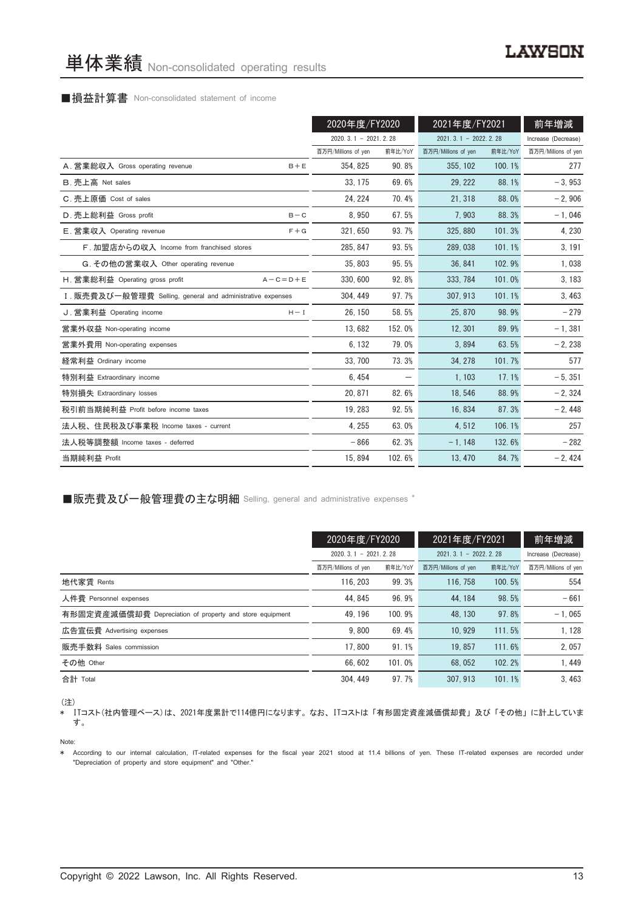#### ■損益計算書 Non-consolidated statement of income

|                                                            | 2020年度/FY2020          |         | 2021年度/FY2021          |         | 前年増減                |
|------------------------------------------------------------|------------------------|---------|------------------------|---------|---------------------|
|                                                            | $2020.3.1 - 2021.2.28$ |         | $2021.3.1 - 2022.2.28$ |         | Increase (Decrease) |
|                                                            | 百万円/Millions of yen    | 前年比/YoY | 百万円/Millions of yen    | 前年比/YoY | 百万円/Millions of yen |
| A. 営業総収入 Gross operating revenue<br>$B + E$                | 354, 825               | 90.8%   | 355, 102               | 100.1%  | 277                 |
| B. 売上高 Net sales                                           | 33, 175                | 69.6%   | 29, 222                | 88.1%   | $-3,953$            |
| C. 売上原価 Cost of sales                                      | 24, 224                | 70.4%   | 21, 318                | 88.0%   | $-2,906$            |
| D. 売上総利益 Gross profit<br>$B - C$                           | 8.950                  | 67.5%   | 7,903                  | 88.3%   | $-1,046$            |
| E. 営業収入 Operating revenue<br>$F + G$                       | 321, 650               | 93.7%   | 325, 880               | 101.3%  | 4, 230              |
| F. 加盟店からの収入 Income from franchised stores                  | 285, 847               | 93.5%   | 289, 038               | 101.1%  | 3, 191              |
| G. その他の営業収入 Other operating revenue                        | 35, 803                | 95.5%   | 36, 841                | 102.9%  | 1,038               |
| H. 営業総利益 Operating gross profit<br>$A - C = D + E$         | 330, 600               | 92.8%   | 333, 784               | 101.0%  | 3, 183              |
| I. 販売費及び一般管理費 Selling, general and administrative expenses | 304, 449               | 97.7%   | 307, 913               | 101.1%  | 3,463               |
| J. 営業利益 Operating income<br>$H - I$                        | 26.150                 | 58.5%   | 25, 870                | 98.9%   | $-279$              |
| 営業外収益 Non-operating income                                 | 13,682                 | 152.0%  | 12, 301                | 89.9%   | $-1,381$            |
| 営業外費用 Non-operating expenses                               | 6, 132                 | 79.0%   | 3,894                  | 63.5%   | $-2,238$            |
| 経常利益 Ordinary income                                       | 33, 700                | 73.3%   | 34, 278                | 101.7%  | 577                 |
| 特別利益 Extraordinary income                                  | 6,454                  |         | 1, 103                 | 17.1%   | $-5, 351$           |
| 特別損失 Extraordinary losses                                  | 20.871                 | 82.6%   | 18,546                 | 88.9%   | $-2, 324$           |
| 税引前当期純利益 Profit before income taxes                        | 19, 283                | 92.5%   | 16, 834                | 87.3%   | $-2,448$            |
| 法人税、住民税及び事業税 Income taxes - current                        | 4.255                  | 63.0%   | 4,512                  | 106.1%  | 257                 |
| 法人税等調整額 Income taxes - deferred                            | $-866$                 | 62.3%   | $-1, 148$              | 132.6%  | $-282$              |
| 当期純利益 Profit                                               | 15,894                 | 102.6%  | 13, 470                | 84.7%   | $-2,424$            |

■販売費及び一般管理費の主な明細 Selling, general and administrative expenses \*

|                                                          | 2020年度/FY2020          |         | 2021年度/FY2021          |         | 前年増減                |
|----------------------------------------------------------|------------------------|---------|------------------------|---------|---------------------|
|                                                          | $2020.3.1 - 2021.2.28$ |         | $2021.3.1 - 2022.2.28$ |         | Increase (Decrease) |
|                                                          | 百万円/Millions of yen    | 前年比/YoY | 百万円/Millions of yen    | 前年比/YoY | 百万円/Millions of yen |
| 地代家賃 Rents                                               | 116.203                | 99.3%   | 116, 758               | 100.5%  | 554                 |
| 人件費 Personnel expenses                                   | 44.845                 | 96.9%   | 44.184                 | 98.5%   | $-661$              |
| 有形固定資産減価償却費 Depreciation of property and store equipment | 49.196                 | 100.9%  | 48.130                 | 97.8%   | $-1.065$            |
| 広告宣伝費 Advertising expenses                               | 9.800                  | 69.4%   | 10.929                 | 111.5%  | 1.128               |
| 販売手数料 Sales commission                                   | 17.800                 | 91.1%   | 19.857                 | 111.6%  | 2,057               |
| その他 Other                                                | 66.602                 | 101.0%  | 68.052                 | 102.2%  | 1.449               |
| 合計 Total                                                 | 304.449                | 97.7%   | 307.913                | 101.1%  | 3.463               |

(注)

\* ITコスト(社内管理ベース)は、 2021年度累計で114億円になります。 なお、 ITコストは 「有形固定資産減価償却費」 及び 「その他」 に計上していま す。

Note:

\* According to our internal calculation, IT-related expenses for the fiscal year 2021 stood at 11.4 billions of yen. These IT-related expenses are recorded under "Depreciation of property and store equipment" and "Other."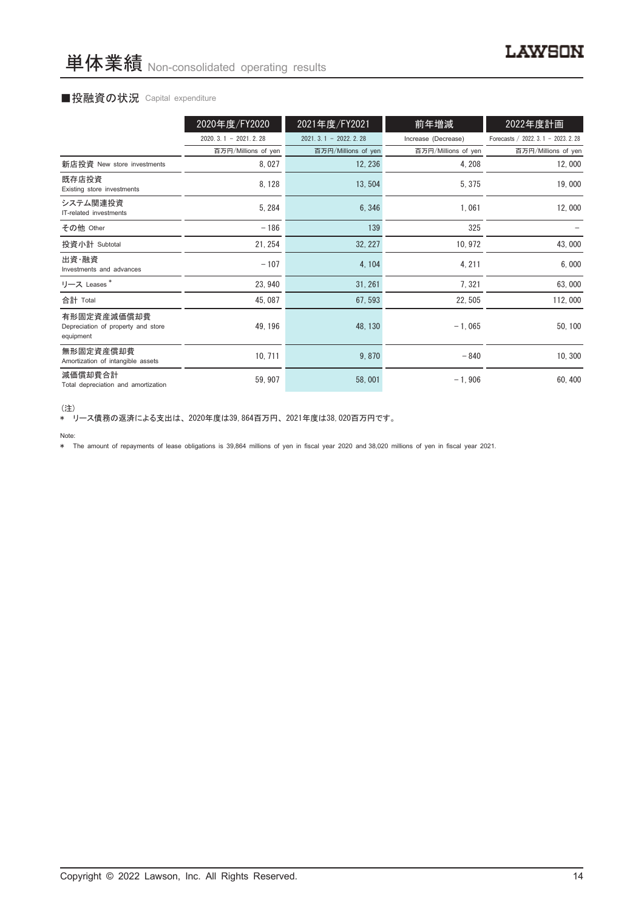#### ■投融資の状況 Capital expenditure

|                                                                | 2020年度/FY2020          | 2021年度/FY2021          | 前年増減                | 2022年度計画                             |
|----------------------------------------------------------------|------------------------|------------------------|---------------------|--------------------------------------|
|                                                                | $2020.3.1 - 2021.2.28$ | $2021.3.1 - 2022.2.28$ | Increase (Decrease) | Forecasts / 2022. 3. 1 - 2023. 2. 28 |
|                                                                | 百万円/Millions of yen    | 百万円/Millions of yen    | 百万円/Millions of yen | 百万円/Millions of yen                  |
| 新店投資 New store investments                                     | 8,027                  | 12, 236                | 4, 208              | 12,000                               |
| 既存店投資<br>Existing store investments                            | 8, 128                 | 13,504                 | 5, 375              | 19,000                               |
| システム関連投資<br>IT-related investments                             | 5, 284                 | 6,346                  | 1,061               | 12,000                               |
| その他 Other                                                      | $-186$                 | 139                    | 325                 |                                      |
| 投資小計 Subtotal                                                  | 21, 254                | 32, 227                | 10, 972             | 43,000                               |
| 出資・融資<br>Investments and advances                              | $-107$                 | 4, 104                 | 4, 211              | 6,000                                |
| リース Leases*                                                    | 23, 940                | 31, 261                | 7,321               | 63,000                               |
| 合計 Total                                                       | 45, 087                | 67, 593                | 22, 505             | 112,000                              |
| 有形固定資産減価償却費<br>Depreciation of property and store<br>equipment | 49, 196                | 48, 130                | $-1,065$            | 50, 100                              |
| 無形固定資産償却費<br>Amortization of intangible assets                 | 10, 711                | 9,870                  | $-840$              | 10, 300                              |
| 減価償却費合計<br>Total depreciation and amortization                 | 59, 907                | 58,001                 | $-1,906$            | 60, 400                              |

<sup>(</sup>注)

\* リース債務の返済による支出は、 2020年度は39,864百万円、 2021年度は38,020百万円です。

\* The amount of repayments of lease obligations is 39,864 millions of yen in fiscal year 2020 and 38,020 millions of yen in fiscal year 2021.

Note: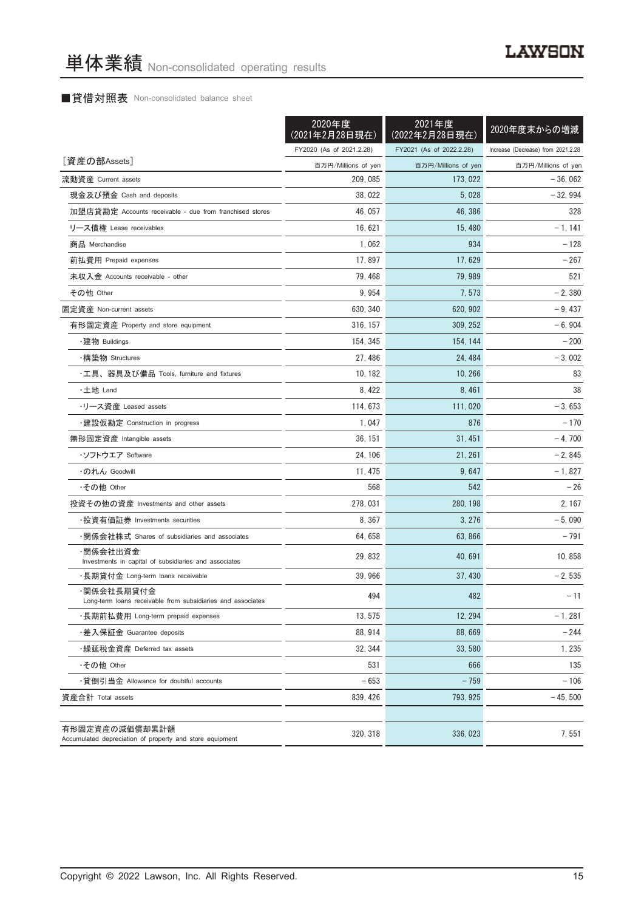#### ■貸借対照表 Non-consolidated balance sheet

|                                                                            | 2020年度<br>(2021年2月28日現在) | 2021年度<br>(2022年2月28日現在) | 2020年度末からの増減                       |
|----------------------------------------------------------------------------|--------------------------|--------------------------|------------------------------------|
|                                                                            | FY2020 (As of 2021.2.28) | FY2021 (As of 2022.2.28) | Increase (Decrease) from 2021.2.28 |
| [資産の部Assets]                                                               | 百万円/Millions of yen      | 百万円/Millions of yen      | 百万円/Millions of yen                |
| 流動資産 Current assets                                                        | 209, 085                 | 173, 022                 | $-36,062$                          |
| 現金及び預金 Cash and deposits                                                   | 38,022                   | 5,028                    | $-32,994$                          |
| 加盟店貸勘定 Accounts receivable - due from franchised stores                    | 46, 057                  | 46, 386                  | 328                                |
| リース債権 Lease receivables                                                    | 16, 621                  | 15, 480                  | $-1, 141$                          |
| 商品 Merchandise                                                             | 1,062                    | 934                      | $-128$                             |
| 前払費用 Prepaid expenses                                                      | 17,897                   | 17,629                   | $-267$                             |
| 未収入金 Accounts receivable - other                                           | 79, 468                  | 79, 989                  | 521                                |
| その他 Other                                                                  | 9,954                    | 7, 573                   | $-2,380$                           |
| 固定資産 Non-current assets                                                    | 630, 340                 | 620, 902                 | $-9,437$                           |
| 有形固定資産 Property and store equipment                                        | 316, 157                 | 309, 252                 | $-6,904$                           |
| ・建物 Buildings                                                              | 154, 345                 | 154, 144                 | $-200$                             |
| ・構築物 Structures                                                            | 27, 486                  | 24, 484                  | $-3,002$                           |
| ・工具、器具及び備品 Tools, furniture and fixtures                                   | 10, 182                  | 10, 266                  | 83                                 |
| ・土地 Land                                                                   | 8, 422                   | 8, 461                   | 38                                 |
| ・リース資産 Leased assets                                                       | 114, 673                 | 111,020                  | $-3,653$                           |
| ・建設仮勘定 Construction in progress                                            | 1,047                    | 876                      | $-170$                             |
| 無形固定資産 Intangible assets                                                   | 36, 151                  | 31, 451                  | $-4,700$                           |
| ・ソフトウエア Software                                                           | 24, 106                  | 21, 261                  | $-2,845$                           |
| ・のれん Goodwill                                                              | 11, 475                  | 9,647                    | $-1,827$                           |
| ・その他 Other                                                                 | 568                      | 542                      | $-26$                              |
| 投資その他の資産 Investments and other assets                                      | 278, 031                 | 280, 198                 | 2, 167                             |
| ・投資有価証券 Investments securities                                             | 8, 367                   | 3,276                    | $-5,090$                           |
| ・関係会社株式 Shares of subsidiaries and associates                              | 64, 658                  | 63,866                   | $-791$                             |
| ·関係会社出資金<br>Investments in capital of subsidiaries and associates          | 29, 832                  | 40.691                   | 10, 858                            |
| ・長期貸付金 Long-term loans receivable                                          | 39, 966                  | 37, 430                  | $-2,535$                           |
| ·関係会社長期貸付金<br>Long-term loans receivable from subsidiaries and associates  | 494                      | 482                      | - 11                               |
| ・長期前払費用 Long-term prepaid expenses                                         | 13, 575                  | 12, 294                  | $-1, 281$                          |
| ・差入保証金 Guarantee deposits                                                  | 88, 914                  | 88,669                   | $-244$                             |
| ・繰延税金資産 Deferred tax assets                                                | 32, 344                  | 33,580                   | 1,235                              |
| ·その他 Other                                                                 | 531                      | 666                      | 135                                |
| ・貸倒引当金 Allowance for doubtful accounts                                     | $-653$                   | $-759$                   | $-106$                             |
| 資産合計 Total assets                                                          | 839, 426                 | 793, 925                 | $-45,500$                          |
| 有形固定資産の減価償却累計額<br>Accumulated depreciation of property and store equipment | 320, 318                 | 336, 023                 | 7,551                              |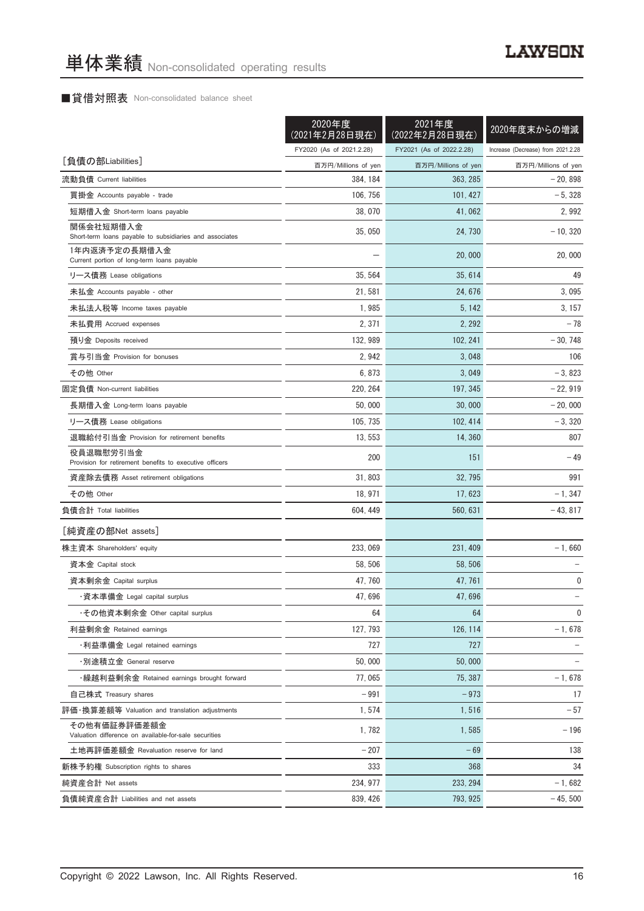#### ■貸借対照表 Non-consolidated balance sheet

|                                                                       | 2020年度<br>(2021年2月28日現在) | 2021年度<br>(2022年2月28日現在) | 2020年度末からの増減                       |
|-----------------------------------------------------------------------|--------------------------|--------------------------|------------------------------------|
|                                                                       | FY2020 (As of 2021.2.28) | FY2021 (As of 2022.2.28) | Increase (Decrease) from 2021.2.28 |
| [負債の部Liabilities]                                                     | 百万円/Millions of yen      | 百万円/Millions of yen      | 百万円/Millions of yen                |
| 流動負債 Current liabilities                                              | 384, 184                 | 363, 285                 | $-20,898$                          |
| 買掛金 Accounts payable - trade                                          | 106, 756                 | 101, 427                 | $-5,328$                           |
| 短期借入金 Short-term loans payable                                        | 38,070                   | 41,062                   | 2,992                              |
| 関係会社短期借入金<br>Short-term loans payable to subsidiaries and associates  | 35,050                   | 24, 730                  | $-10, 320$                         |
| 1年内返済予定の長期借入金<br>Current portion of long-term loans payable           |                          | 20,000                   | 20,000                             |
| リース債務 Lease obligations                                               | 35, 564                  | 35, 614                  | 49                                 |
| 未払金 Accounts payable - other                                          | 21, 581                  | 24, 676                  | 3,095                              |
| 未払法人税等 Income taxes payable                                           | 1,985                    | 5, 142                   | 3, 157                             |
| 未払費用 Accrued expenses                                                 | 2, 371                   | 2, 292                   | $-78$                              |
| 預り金 Deposits received                                                 | 132, 989                 | 102, 241                 | $-30,748$                          |
| 賞与引当金 Provision for bonuses                                           | 2,942                    | 3,048                    | 106                                |
| その他 Other                                                             | 6,873                    | 3,049                    | $-3,823$                           |
| 固定負債 Non-current liabilities                                          | 220, 264                 | 197, 345                 | $-22,919$                          |
| 長期借入金 Long-term loans payable                                         | 50,000                   | 30,000                   | $-20,000$                          |
| リース債務 Lease obligations                                               | 105, 735                 | 102, 414                 | $-3,320$                           |
| 退職給付引当金 Provision for retirement benefits                             | 13,553                   | 14,360                   | 807                                |
| 役員退職慰労引当金<br>Provision for retirement benefits to executive officers  | 200                      | 151                      | $-49$                              |
| 資産除去債務 Asset retirement obligations                                   | 31,803                   | 32, 795                  | 991                                |
| その他 Other                                                             | 18, 971                  | 17, 623                  | $-1, 347$                          |
| 負債合計 Total liabilities                                                | 604, 449                 | 560, 631                 | $-43, 817$                         |
| [純資産の部Net assets]                                                     |                          |                          |                                    |
| 株主資本 Shareholders' equity                                             | 233, 069                 | 231, 409                 | $-1,660$                           |
| 資本金 Capital stock                                                     | 58, 506                  | 58, 506                  |                                    |
| 資本剰余金 Capital surplus                                                 | 47, 760                  | 47, 761                  | 0                                  |
| ・資本準備金 Legal capital surplus                                          | 47,696                   | 47,696                   |                                    |
| ・その他資本剰余金 Other capital surplus                                       | 64                       | 64                       | 0                                  |
| 利益剰余金 Retained earnings                                               | 127, 793                 | 126, 114                 | $-1,678$                           |
| ・利益準備金 Legal retained earnings                                        | 727                      | 727                      |                                    |
| ・別途積立金 General reserve                                                | 50,000                   | 50.000                   |                                    |
| ・繰越利益剰余金 Retained earnings brought forward                            | 77,065                   | 75, 387                  | $-1,678$                           |
| 自己株式 Treasury shares                                                  | $-991$                   | $-973$                   | 17                                 |
| 評価・換算差額等 Valuation and translation adjustments                        | 1,574                    | 1,516                    | $-57$                              |
| その他有価証券評価差額金<br>Valuation difference on available-for-sale securities | 1,782                    | 1,585                    | $-196$                             |
| 土地再評価差額金 Revaluation reserve for land                                 | $-207$                   | $-69$                    | 138                                |
| 新株予約権 Subscription rights to shares                                   | 333                      | 368                      | 34                                 |
| 純資産合計 Net assets                                                      | 234, 977                 | 233, 294                 | $-1,682$                           |
| 負債純資産合計 Liabilities and net assets                                    | 839, 426                 | 793, 925                 | $-45,500$                          |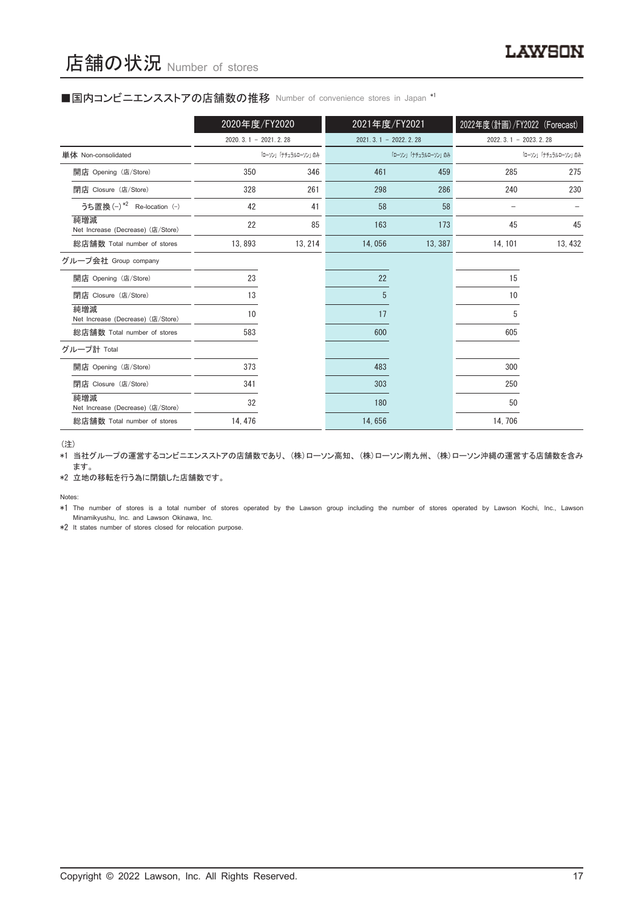#### ■国内コンビニエンスストアの店舗数の推移 Number of convenience stores in Japan \*1

|                                          | 2020年度/FY2020          |                     | 2021年度/FY2021          |                     | 2022年度(計画)/FY2022 (Forecast) |                     |
|------------------------------------------|------------------------|---------------------|------------------------|---------------------|------------------------------|---------------------|
|                                          | $2020.3.1 - 2021.2.28$ |                     | $2021.3.1 - 2022.2.28$ |                     | $2022.3.1 - 2023.2.28$       |                     |
| 単体 Non-consolidated                      |                        | 「ローソン」「ナチュラルローソン」のみ |                        | 「ローソン」「ナチュラルローソン」のみ |                              | 「ローソン」「ナチュラルローソン」のみ |
| 開店 Opening (店/Store)                     | 350                    | 346                 | 461                    | 459                 | 285                          | 275                 |
| 閉店 Closure (店/Store)                     | 328                    | 261                 | 298                    | 286                 | 240                          | 230                 |
| うち置換 (-) *2 Re-location (-)              | 42                     | 41                  | 58                     | 58                  |                              |                     |
| 純増減<br>Net Increase (Decrease) (店/Store) | 22                     | 85                  | 163                    | 173                 | 45                           | 45                  |
| 総店舗数 Total number of stores              | 13,893                 | 13, 214             | 14,056                 | 13, 387             | 14, 101                      | 13, 432             |
| グループ会社 Group company                     |                        |                     |                        |                     |                              |                     |
| 開店 Opening (店/Store)                     | 23                     |                     | 22                     |                     | 15                           |                     |
| 閉店 Closure (店/Store)                     | 13                     |                     | 5                      |                     | 10                           |                     |
| 純増減<br>Net Increase (Decrease) (店/Store) | 10                     |                     | 17                     |                     | 5                            |                     |
| 総店舗数 Total number of stores              | 583                    |                     | 600                    |                     | 605                          |                     |
| グループ計 Total                              |                        |                     |                        |                     |                              |                     |
| 開店 Opening (店/Store)                     | 373                    |                     | 483                    |                     | 300                          |                     |
| 閉店 Closure (店/Store)                     | 341                    |                     | 303                    |                     | 250                          |                     |
| 純増減<br>Net Increase (Decrease) (店/Store) | 32                     |                     | 180                    |                     | 50                           |                     |
| 総店舗数 Total number of stores              | 14, 476                |                     | 14,656                 |                     | 14,706                       |                     |

(注)

\*1 当社グループの運営するコンビニエンスストアの店舗数であり、 (株)ローソン高知、 (株)ローソン南九州、 (株)ローソン沖縄の運営する店舗数を含み ます。

\*2 立地の移転を行う為に閉鎖した店舗数です。

Notes:

\*1 The number of stores is a total number of stores operated by the Lawson group including the number of stores operated by Lawson Kochi, Inc., Lawson Minamikyushu, Inc. and Lawson Okinawa, Inc.

\*2 It states number of stores closed for relocation purpose.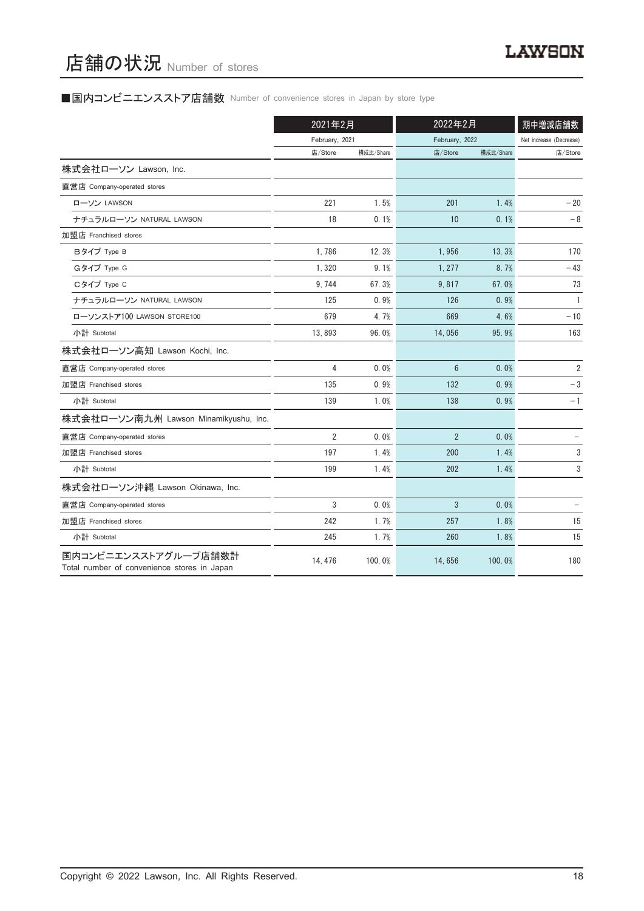# 店舗の状況 Number of stores

# ■国内コンビニエンスストア店舗数 Number of convenience stores in Japan by store type

|                                                                     | 2021年2月        |           | 2022年2月        |           | 期中増減店舗数                 |
|---------------------------------------------------------------------|----------------|-----------|----------------|-----------|-------------------------|
|                                                                     | February, 2021 |           | February, 2022 |           | Net increase (Decrease) |
|                                                                     | 店/Store        | 構成比/Share | 店/Store        | 構成比/Share | 店/Store                 |
| 株式会社ローソン Lawson, Inc.                                               |                |           |                |           |                         |
| 直営店 Company-operated stores                                         |                |           |                |           |                         |
| ローソン LAWSON                                                         | 221            | 1.5%      | 201            | 1.4%      | $-20$                   |
| ナチュラルローソン NATURAL LAWSON                                            | 18             | 0.1%      | 10             | 0.1%      | $-8$                    |
| 加盟店 Franchised stores                                               |                |           |                |           |                         |
| Bタイプ Type B                                                         | 1,786          | 12.3%     | 1,956          | 13.3%     | 170                     |
| Gタイプ Type G                                                         | 1,320          | 9.1%      | 1.277          | 8.7%      | $-43$                   |
| Cタイプ Type C                                                         | 9,744          | 67.3%     | 9,817          | 67.0%     | 73                      |
| ナチュラルローソン NATURAL LAWSON                                            | 125            | 0.9%      | 126            | 0.9%      | $\mathbf{1}$            |
| ローソンストア100 LAWSON STORE100                                          | 679            | 4.7%      | 669            | 4.6%      | $-10$                   |
| 小計 Subtotal                                                         | 13,893         | 96.0%     | 14,056         | 95.9%     | 163                     |
| 株式会社ローソン高知 Lawson Kochi, Inc.                                       |                |           |                |           |                         |
| 直営店 Company-operated stores                                         | 4              | $0.0\%$   | $6\phantom{1}$ | 0.0%      | $\overline{2}$          |
| 加盟店 Franchised stores                                               | 135            | 0.9%      | 132            | 0.9%      | $-3$                    |
| 小計 Subtotal                                                         | 139            | 1.0%      | 138            | 0.9%      | $-1$                    |
| 株式会社ローソン南九州 Lawson Minamikyushu, Inc.                               |                |           |                |           |                         |
| 直営店 Company-operated stores                                         | $\overline{2}$ | 0.0%      | $\overline{2}$ | 0.0%      |                         |
| 加盟店 Franchised stores                                               | 197            | 1.4%      | 200            | 1.4%      | 3                       |
| 小計 Subtotal                                                         | 199            | 1.4%      | 202            | 1.4%      | 3                       |
| 株式会社ローソン沖縄 Lawson Okinawa, Inc.                                     |                |           |                |           |                         |
| 直営店 Company-operated stores                                         | 3              | $0.0\%$   | 3              | 0.0%      |                         |
| 加盟店 Franchised stores                                               | 242            | 1.7%      | 257            | 1.8%      | 15                      |
| 小計 Subtotal                                                         | 245            | 1.7%      | 260            | 1.8%      | 15                      |
| 国内コンビニエンスストアグループ店舗数計<br>Total number of convenience stores in Japan | 14, 476        | 100.0%    | 14,656         | 100.0%    | 180                     |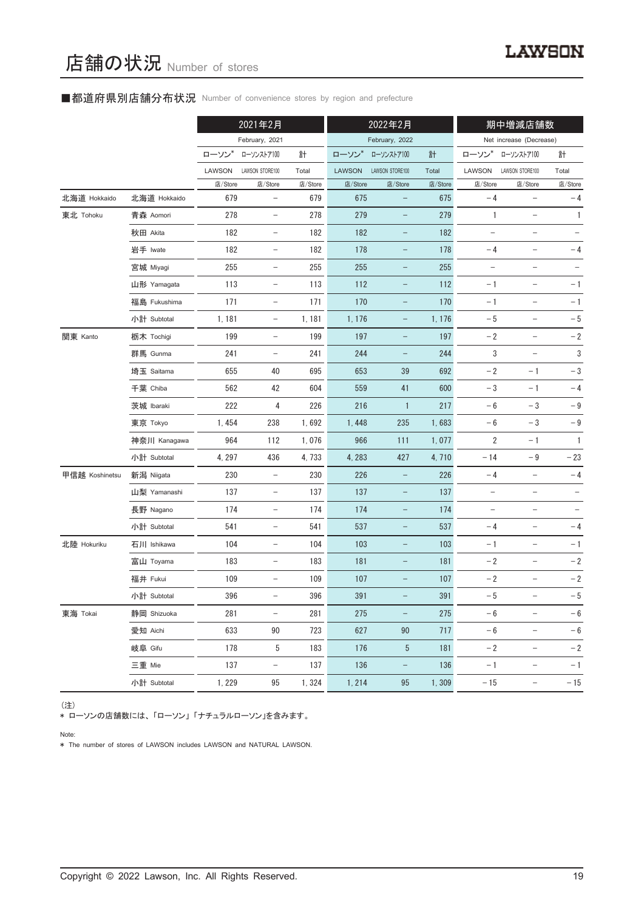#### ■都道府県別店舗分布状況 Number of convenience stores by region and prefecture

|                |              |         | 2021年2月                  |         |               | 2022年2月                  |         |                          | 期中増減店舗数                  |                   |
|----------------|--------------|---------|--------------------------|---------|---------------|--------------------------|---------|--------------------------|--------------------------|-------------------|
|                |              |         | February, 2021           |         |               | February, 2022           |         |                          | Net increase (Decrease)  |                   |
|                |              | ローソン    | ローソンストア100               | 計       | ローソン          | ローソンストア100               | 計       | ローソン                     | ローソンストア100               | 計                 |
|                |              | LAWSON  | LAWSON STORE100          | Total   | <b>LAWSON</b> | LAWSON STORE100          | Total   | LAWSON                   | LAWSON STORE100          | Total             |
|                |              | 店/Store | 店/Store                  | 店/Store | 店/Store       | 店/Store                  | 店/Store | 店/Store                  | 店/Store                  | 店/Store           |
| 北海道 Hokkaido   | 北海道 Hokkaido | 679     | $\qquad \qquad -$        | 679     | 675           | $\qquad \qquad -$        | 675     | $-4$                     |                          | $-4$              |
| 東北 Tohoku      | 青森 Aomori    | 278     | $\overline{\phantom{a}}$ | 278     | 279           |                          | 279     | $\mathbf{1}$             | $\qquad \qquad -$        | $\mathbf{1}$      |
|                | 秋田 Akita     | 182     | $\overline{\phantom{a}}$ | 182     | 182           | $\qquad \qquad -$        | 182     | $\qquad \qquad -$        | $\qquad \qquad -$        |                   |
|                | 岩手 Iwate     | 182     | $\qquad \qquad -$        | 182     | 178           | $\qquad \qquad -$        | 178     | $-4$                     |                          | $-4$              |
|                | 宮城 Miyagi    | 255     | $\qquad \qquad -$        | 255     | 255           | -                        | 255     | $\overline{\phantom{0}}$ | $\overline{\phantom{0}}$ |                   |
|                | 山形 Yamagata  | 113     | $\overline{\phantom{a}}$ | 113     | 112           | $\qquad \qquad -$        | 112     | $-1$                     | $\overline{\phantom{a}}$ | $-1$              |
|                | 福島 Fukushima | 171     | $\overline{\phantom{a}}$ | 171     | 170           | $\qquad \qquad -$        | 170     | $-1$                     | $\qquad \qquad -$        | $-1$              |
|                | 小計 Subtotal  | 1, 181  | $\overline{\phantom{a}}$ | 1,181   | 1, 176        | $\qquad \qquad -$        | 1, 176  | $-5$                     | $\overline{\phantom{0}}$ | $-5$              |
| 関東 Kanto       | 栃木 Tochigi   | 199     | $\overline{\phantom{a}}$ | 199     | 197           | $\qquad \qquad -$        | 197     | $-2$                     | $\overline{\phantom{a}}$ | $-2$              |
|                | 群馬 Gunma     | 241     | $\overline{\phantom{a}}$ | 241     | 244           | $\qquad \qquad -$        | 244     | 3                        | $\overline{\phantom{0}}$ | $\sqrt{3}$        |
|                | 埼玉 Saitama   | 655     | 40                       | 695     | 653           | 39                       | 692     | $-2$                     | $-1$                     | $-3$              |
|                | 千葉 Chiba     | 562     | 42                       | 604     | 559           | 41                       | 600     | $-3$                     | $-1$                     | $-4$              |
|                | 茨城 Ibaraki   | 222     | 4                        | 226     | 216           | $\mathbf{1}$             | 217     | $-6$                     | $-3$                     | $-9$              |
|                | 東京 Tokyo     | 1,454   | 238                      | 1,692   | 1,448         | 235                      | 1,683   | $-6$                     | $-3$                     | $-9$              |
|                | 神奈川 Kanagawa | 964     | 112                      | 1,076   | 966           | 111                      | 1,077   | $\overline{2}$           | $-1$                     | $\mathbf{1}$      |
|                | 小計 Subtotal  | 4, 297  | 436                      | 4,733   | 4, 283        | 427                      | 4,710   | $-14$                    | $-9$                     | $-23$             |
| 甲信越 Koshinetsu | 新潟 Niigata   | 230     | $\overline{\phantom{m}}$ | 230     | 226           | -                        | 226     | $-4$                     | $\qquad \qquad -$        | $-4$              |
|                | 山梨 Yamanashi | 137     | $\overline{\phantom{a}}$ | 137     | 137           | -                        | 137     | $\overline{\phantom{m}}$ | $\overline{\phantom{a}}$ | $\qquad \qquad -$ |
|                | 長野 Nagano    | 174     | $\overline{\phantom{a}}$ | 174     | 174           | $\qquad \qquad -$        | 174     | $\qquad \qquad -$        | $\qquad \qquad -$        |                   |
|                | 小計 Subtotal  | 541     | $\overline{\phantom{a}}$ | 541     | 537           | -                        | 537     | $-4$                     | $\overline{\phantom{0}}$ | $-4$              |
| 北陸 Hokuriku    | 石川 Ishikawa  | 104     | $\overline{\phantom{a}}$ | 104     | 103           | $\qquad \qquad -$        | 103     | $-1$                     | $\overline{\phantom{a}}$ | $-1$              |
|                | 富山 Toyama    | 183     | $\qquad \qquad -$        | 183     | 181           | -                        | 181     | $-2$                     | $\qquad \qquad -$        | $-2$              |
|                | 福井 Fukui     | 109     | $\qquad \qquad -$        | 109     | 107           |                          | 107     | $-2$                     |                          | $-2$              |
|                | 小計 Subtotal  | 396     | $\overline{\phantom{a}}$ | 396     | 391           |                          | 391     | $-5$                     | $\qquad \qquad -$        | $-5$              |
| 東海 Tokai       | 静岡 Shizuoka  | 281     | $\overline{\phantom{m}}$ | 281     | 275           | $\qquad \qquad -$        | 275     | $-6$                     | $\qquad \qquad -$        | $-6$              |
|                | 愛知 Aichi     | 633     | 90                       | 723     | 627           | 90                       | 717     | $-6$                     | $\overline{\phantom{a}}$ | $-6$              |
|                | 岐阜 Gifu      | 178     | 5                        | 183     | 176           | 5                        | 181     | $-2$                     | $\overline{\phantom{a}}$ | $-2$              |
|                | 三重 Mie       | 137     | $\overline{\phantom{a}}$ | 137     | 136           | $\overline{\phantom{a}}$ | 136     | $-1$                     | $\qquad \qquad -$        | $-1$              |
|                | 小計 Subtotal  | 1,229   | 95                       | 1,324   | 1, 214        | 95                       | 1,309   | $-15$                    | $\overline{\phantom{a}}$ | $-15$             |

(注)

\* ローソンの店舗数には、 「ローソン」 「ナチュラルローソン」を含みます。

Note:

\* The number of stores of LAWSON includes LAWSON and NATURAL LAWSON.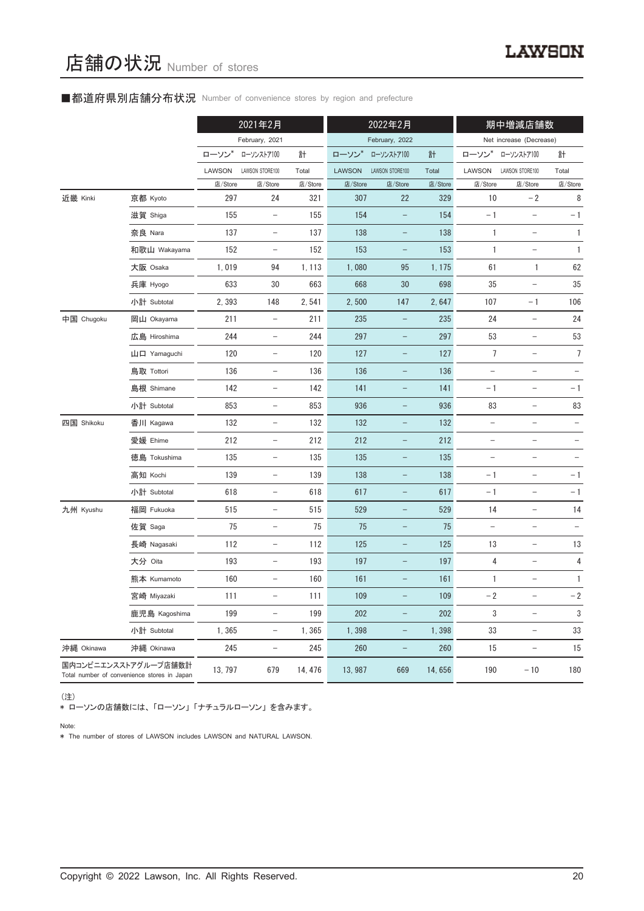#### ■都道府県別店舗分布状況 Number of convenience stores by region and prefecture

|            |                                                                     |         | 2021年2月                  |         |               | 2022年2月                  |         |                          | 期中増減店舗数                           |                          |
|------------|---------------------------------------------------------------------|---------|--------------------------|---------|---------------|--------------------------|---------|--------------------------|-----------------------------------|--------------------------|
|            |                                                                     |         | February, 2021           |         |               | February, 2022           |         |                          | Net increase (Decrease)           |                          |
|            |                                                                     | ローソン*   | ローソンストア100               | 計       | ローソン*         | ローソンストア100               | 計       | ローソン*                    | ローソンストア100                        | 計                        |
|            |                                                                     | LAWSON  | LAWSON STORE100          | Total   | <b>LAWSON</b> | LAWSON STORE100          | Total   | LAWSON                   | LAWSON STORE100                   | Total                    |
|            |                                                                     | 店/Store | 店/Store                  | 店/Store | 店/Store       | 店/Store                  | 店/Store | 店/Store                  | 店/Store                           | 店/Store                  |
| 近畿 Kinki   | 京都 Kyoto                                                            | 297     | 24                       | 321     | 307           | 22                       | 329     | 10                       | $-2$                              | 8                        |
|            | 滋賀 Shiga                                                            | 155     | $\overline{\phantom{a}}$ | 155     | 154           | $\qquad \qquad -$        | 154     | $-1$                     | $\qquad \qquad -$                 | $-1$                     |
|            | 奈良 Nara                                                             | 137     | $\overline{\phantom{a}}$ | 137     | 138           |                          | 138     | 1                        |                                   | $\mathbf{1}$             |
|            | 和歌山 Wakayama                                                        | 152     | $\qquad \qquad -$        | 152     | 153           |                          | 153     | 1                        |                                   | 1                        |
|            | 大阪 Osaka                                                            | 1,019   | 94                       | 1, 113  | 1,080         | 95                       | 1, 175  | 61                       | 1                                 | 62                       |
|            | 兵庫 Hyogo                                                            | 633     | 30                       | 663     | 668           | 30                       | 698     | 35                       | $\overline{\phantom{0}}$          | 35                       |
|            | 小計 Subtotal                                                         | 2,393   | 148                      | 2,541   | 2,500         | 147                      | 2,647   | 107                      | $-1$                              | 106                      |
| 中国 Chugoku | 岡山 Okayama                                                          | 211     | $\overline{\phantom{0}}$ | 211     | 235           |                          | 235     | 24                       |                                   | 24                       |
|            | 広島 Hiroshima                                                        | 244     | $\overline{\phantom{a}}$ | 244     | 297           | $\overline{\phantom{0}}$ | 297     | 53                       | $\qquad \qquad -$                 | 53                       |
|            | 山口 Yamaguchi                                                        | 120     | $\overline{\phantom{a}}$ | 120     | 127           | $\overline{\phantom{0}}$ | 127     | $\overline{7}$           | $\qquad \qquad -$                 | $\overline{7}$           |
|            | 鳥取 Tottori                                                          | 136     | $\qquad \qquad -$        | 136     | 136           |                          | 136     |                          |                                   |                          |
|            | 島根 Shimane                                                          | 142     | $\overline{\phantom{a}}$ | 142     | 141           | $\qquad \qquad -$        | 141     | $-1$                     | $\qquad \qquad -$                 | $-1$                     |
|            | 小計 Subtotal                                                         | 853     | $\overline{\phantom{a}}$ | 853     | 936           | $\qquad \qquad -$        | 936     | 83                       | $\qquad \qquad -$                 | 83                       |
| 四国 Shikoku | 香川 Kagawa                                                           | 132     | $\overline{\phantom{a}}$ | 132     | 132           |                          | 132     |                          |                                   |                          |
|            | 愛媛 Ehime                                                            | 212     | $\overline{\phantom{0}}$ | 212     | 212           | -                        | 212     | $\qquad \qquad -$        | $\qquad \qquad -$                 | $\overline{\phantom{0}}$ |
|            | 徳島 Tokushima                                                        | 135     | $\overline{\phantom{a}}$ | 135     | 135           | $\qquad \qquad -$        | 135     | $\overline{\phantom{a}}$ | $\qquad \qquad -$                 |                          |
|            | 高知 Kochi                                                            | 139     | $\overline{\phantom{a}}$ | 139     | 138           | $\qquad \qquad -$        | 138     | $-1$                     | $\qquad \qquad -$                 | $-1$                     |
|            | 小計 Subtotal                                                         | 618     | $\overline{\phantom{0}}$ | 618     | 617           | $\overline{\phantom{0}}$ | 617     | $-1$                     | $\overline{\phantom{0}}$          | $-1$                     |
| 九州 Kyushu  | 福岡 Fukuoka                                                          | 515     | $\overline{\phantom{a}}$ | 515     | 529           | $\qquad \qquad -$        | 529     | 14                       | $\hspace{0.1in} - \hspace{0.1in}$ | 14                       |
|            | 佐賀 Saga                                                             | 75      | $\overline{\phantom{a}}$ | 75      | 75            | $\qquad \qquad -$        | 75      | $\bar{ }$                | $\qquad \qquad -$                 |                          |
|            | 長崎 Nagasaki                                                         | 112     | $\qquad \qquad -$        | 112     | 125           |                          | 125     | 13                       | $\overline{\phantom{0}}$          | 13                       |
|            | 大分 Oita                                                             | 193     | $\qquad \qquad -$        | 193     | 197           |                          | 197     | 4                        |                                   | 4                        |
|            | 熊本 Kumamoto                                                         | 160     | $\overline{\phantom{a}}$ | 160     | 161           | -                        | 161     | 1                        | $\overline{\phantom{0}}$          | $\mathbf{1}$             |
|            | 宮崎 Miyazaki                                                         | 111     | $\qquad \qquad -$        | 111     | 109           |                          | 109     | $-2$                     | $\qquad \qquad -$                 | $-2$                     |
|            | 鹿児島 Kagoshima                                                       | 199     | $\qquad \qquad -$        | 199     | 202           |                          | 202     | 3                        | $\overline{\phantom{0}}$          | 3                        |
|            | 小計 Subtotal                                                         | 1,365   | $\overline{\phantom{a}}$ | 1,365   | 1,398         | $\qquad \qquad -$        | 1,398   | 33                       | $\overline{\phantom{a}}$          | 33                       |
| 沖縄 Okinawa | 沖縄 Okinawa                                                          | 245     | $\overline{\phantom{a}}$ | 245     | 260           | $\qquad \qquad -$        | 260     | 15                       | $\overline{\phantom{0}}$          | 15                       |
|            | 国内コンビニエンスストアグループ店舗数計<br>Total number of convenience stores in Japan | 13, 797 | 679                      | 14, 476 | 13,987        | 669                      | 14,656  | 190                      | $-10$                             | 180                      |

(注)

\* ローソンの店舗数には、 「ローソン」 「ナチュラルローソン」 を含みます。

Note:

\* The number of stores of LAWSON includes LAWSON and NATURAL LAWSON.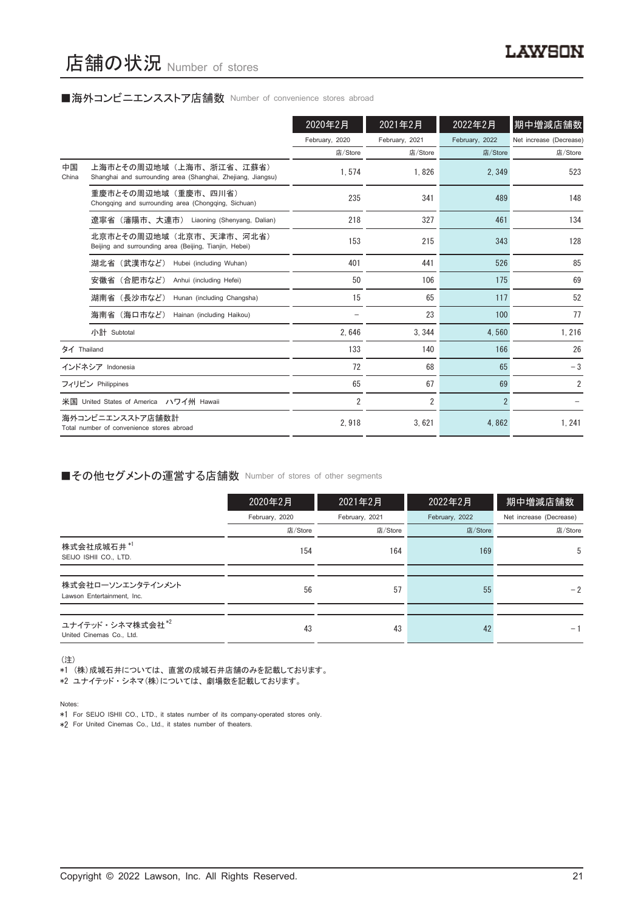#### ■海外コンビニエンスストア店舗数 Number of convenience stores abroad

|             |                                                                                        | 2020年2月        | 2021年2月        | 2022年2月        | 期中増減店舗数                 |
|-------------|----------------------------------------------------------------------------------------|----------------|----------------|----------------|-------------------------|
|             |                                                                                        | February, 2020 | February, 2021 | February, 2022 | Net increase (Decrease) |
|             |                                                                                        | 店/Store        | 店/Store        | 店/Store        | 店/Store                 |
| 中国<br>China | 上海市とその周辺地域(上海市、浙江省、江蘇省)<br>Shanghai and surrounding area (Shanghai, Zhejiang, Jiangsu) | 1,574          | 1,826          | 2,349          | 523                     |
|             | 重慶市とその周辺地域(重慶市、四川省)<br>Chongqing and surrounding area (Chongqing, Sichuan)             | 235            | 341            | 489            | 148                     |
|             | 遼寧省 (瀋陽市、大連市) Liaoning (Shenyang, Dalian)                                              | 218            | 327            | 461            | 134                     |
|             | 北京市とその周辺地域(北京市、天津市、河北省)<br>Beijing and surrounding area (Beijing, Tianjin, Hebei)      | 153            | 215            | 343            | 128                     |
|             | 湖北省(武漢市など)<br>Hubei (including Wuhan)                                                  | 401            | 441            | 526            | 85                      |
|             | 安徽省 (合肥市など)<br>Anhui (including Hefei)                                                 | 50             | 106            | 175            | 69                      |
|             | 湖南省(長沙市など)<br>Hunan (including Changsha)                                               | 15             | 65             | 117            | 52                      |
|             | 海南省(海口市など)<br>Hainan (including Haikou)                                                |                | 23             | 100            | 77                      |
|             | 小計 Subtotal                                                                            | 2.646          | 3.344          | 4,560          | 1,216                   |
| タイ Thailand |                                                                                        | 133            | 140            | 166            | 26                      |
|             | インドネシア Indonesia                                                                       | 72             | 68             | 65             | $-3$                    |
|             | フィリピン Philippines                                                                      | 65             | 67             | 69             | $\overline{2}$          |
|             | 米国 United States of America ハワイ州 Hawaii                                                | $\overline{2}$ | $\overline{2}$ | $\overline{2}$ |                         |
|             | 海外コンビニエンスストア店舗数計<br>Total number of convenience stores abroad                          | 2.918          | 3,621          | 4,862          | 1, 241                  |

#### ■その他セグメントの運営する店舗数 Number of stores of other segments

|                                                 | 2020年2月        | 2021年2月        | 2022年2月        | 期中増減店舗数                 |
|-------------------------------------------------|----------------|----------------|----------------|-------------------------|
|                                                 | February, 2020 | February, 2021 | February, 2022 | Net increase (Decrease) |
|                                                 | 店/Store        | 店/Store        | 店/Store        | 店/Store                 |
| 株式会社成城石井*1<br>SEIJO ISHII CO., LTD.             | 154            | 164            | 169            | 5                       |
|                                                 |                |                |                |                         |
| 株式会社ローソンエンタテインメント<br>Lawson Entertainment, Inc. | 56             | 57             | 55             | $-2$                    |
|                                                 |                |                |                |                         |
| ユナイテッド・シネマ株式会社*2<br>United Cinemas Co., Ltd.    | 43             | 43             | 42             | $-1$                    |

(注)

、……<br>\*1 (株)成城石井については、直営の成城石井店舗のみを記載しております。

\*2 ユナイテッド・シネマ(株)については、劇場数を記載しております。

Notes:

\*1 For SEIJO ISHII CO., LTD., it states number of its company-operated stores only.

\*2 For United Cinemas Co., Ltd., it states number of theaters.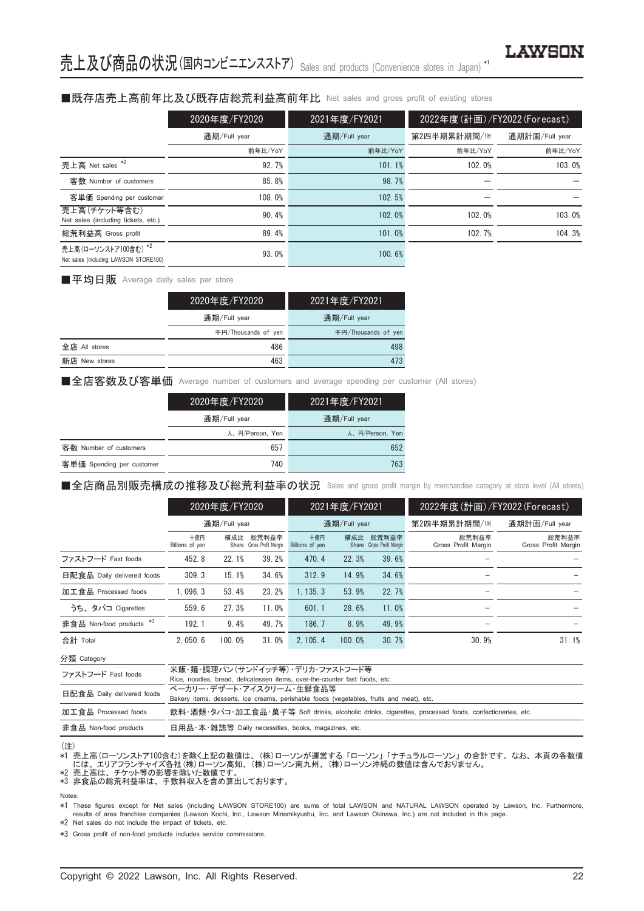### ■既存店売上高前年比及び既存店総荒利益高前年比 Net sales and gross profit of existing stores

|                                                               | 2020年度/FY2020 | 2021年度/FY2021 | 2022年度(計画)/FY2022 (Forecast) |                |  |  |
|---------------------------------------------------------------|---------------|---------------|------------------------------|----------------|--|--|
|                                                               | 通期/Full year  | 通期/Full year  | 第2四半期累計期間/1H                 | 通期計画/Full year |  |  |
|                                                               | 前年比/YoY       | 前年比/YoY       | 前年比/YoY                      | 前年比/YoY        |  |  |
| 売上高 Net sales *2                                              | 92.7%         | 101.1%        | 102.0%                       | 103.0%         |  |  |
| 客数 Number of customers                                        | 85.8%         | 98.7%         |                              |                |  |  |
| 客単価 Spending per customer                                     | 108.0%        | 102.5%        |                              |                |  |  |
| 売上高(チケット等含む)<br>Net sales (including tickets, etc.)           | 90.4%         | 102.0%        | 102.0%                       | 103.0%         |  |  |
| 総荒利益高 Gross profit                                            | 89.4%         | 101.0%        | 102.7%                       | 104.3%         |  |  |
| 売上高(ローソンストア100含む) *2<br>Net sales (including LAWSON STORE100) | 93.0%         | 100.6%        |                              |                |  |  |

■平均日販 Average daily sales per store

|               | 2020年度/FY2020       | 2021年度/FY2021       |
|---------------|---------------------|---------------------|
|               | 通期/Full year        | 通期/Full year        |
|               | 千円/Thousands of ven | 千円/Thousands of yen |
| 全店 All stores | 486                 | 498                 |
| 新店 New stores | 463                 | 473                 |

■全店客数及び客単価 Average number of customers and average spending per customer (All stores)

|                           | 2020年度/FY2020   | 2021年度/FY2021   |
|---------------------------|-----------------|-----------------|
|                           | 通期/Full year    | 通期/Full year    |
|                           | 人、円/Person, Yen | 人、円/Person, Yen |
| 客数 Number of customers    | 657             | 652             |
| 客単価 Spending per customer | 740             | 763             |

■全店商品別販売構成の推移及び総荒利益率の状況 Sales and gross profit margin by merchandise category at store level (All stores)

|                            | 2020年度/FY2020          |        |                                    | 2021年度/FY2021          |        |                                    | 2022年度(計画)/FY2022 (Forecast) |                              |  |
|----------------------------|------------------------|--------|------------------------------------|------------------------|--------|------------------------------------|------------------------------|------------------------------|--|
|                            | 通期/Full year           |        |                                    | 通期/Full year           |        |                                    | 第2四半期累計期間/1H                 | 通期計画/Full year               |  |
|                            | 十億円<br>Billions of yen | 構成比    | 総荒利益率<br>Share Gross Profit Margin | 十億円<br>Billions of yen | 構成比    | 総荒利益率<br>Share Gross Profit Margin | 総荒利益率<br>Gross Profit Margin | 総荒利益率<br>Gross Profit Margin |  |
| ファストフード Fast foods         | 452.8                  | 22.1%  | 39.2%                              | 470.4                  | 22.3%  | 39.6%                              |                              |                              |  |
| 日配食品 Daily delivered foods | 309.3                  | 15.1%  | 34.6%                              | 312.9                  | 14.9%  | 34.6%                              |                              |                              |  |
| 加工食品 Processed foods       | 1.096.3                | 53.4%  | 23.2%                              | 1.135.3                | 53.9%  | 22.7%                              |                              |                              |  |
| うち、タバコ Cigarettes          | 559.6                  | 27.3%  | 11.0%                              | 601.1                  | 28.6%  | 11.0%                              |                              |                              |  |
| 非食品 Non-food products *3   | 192.1                  | 9.4%   | 49.7%                              | 186.7                  | 8.9%   | 49.9%                              | -                            |                              |  |
| 合計 Total                   | 2.050.6                | 100.0% | 31.0%                              | 2.105.4                | 100.0% | 30.7%                              | 30.9%                        | 31.1%                        |  |

分類 Category

| ファストフード Fast foods         | 米飯・麺・調理パン(サンドイッチ等)・デリカ・ファストフード等                                                                      |
|----------------------------|------------------------------------------------------------------------------------------------------|
|                            | Rice, noodles, bread, delicatessen items, over-the-counter fast foods, etc.                          |
| 日配食品 Daily delivered foods | ベーカリー・デザート・アイスクリーム・牛鮮食品等                                                                             |
|                            | Bakery items, desserts, ice creams, perishable foods (vegetables, fruits and meat), etc.             |
| 加工食品 Processed foods       | 飲料・酒類・タバコ・加工食品・菓子等 Soft drinks, alcoholic drinks, cigarettes, processed foods, confectioneries, etc. |
| 非食品 Non-food products      | 日用品・本・雑誌等 Daily necessities, books, magazines, etc.                                                  |

(注)

\*1 売上高(ローソンストア100含む)を除く上記の数値は、 (株)ローソンが運営する 「ローソン」 「ナチュラルローソン」 の合計です。 なお、 本頁の各数値 - には、エリアフランチャイズ各社 (株)ローソン高知、 (株)ローソン南九州、 (株)ローソン沖縄の数値は含んでおりません。<br>\*2 売上高は、チケット等の影響を除いた数値です。<br>\*3 非食品の総荒利益率は、手数料収入を含め算出しております。

Notes:

These figures except for Net sales (including LAWSON STORE100) are sums of total LAWSON and NATURAL LAWSON operated by Lawson, Inc. Furthermore,<br>results of area franchise companies (Lawson Kochi, Inc., Lawson Minamikyushu,

\*2 Net sales do not include the impact of tickets, etc.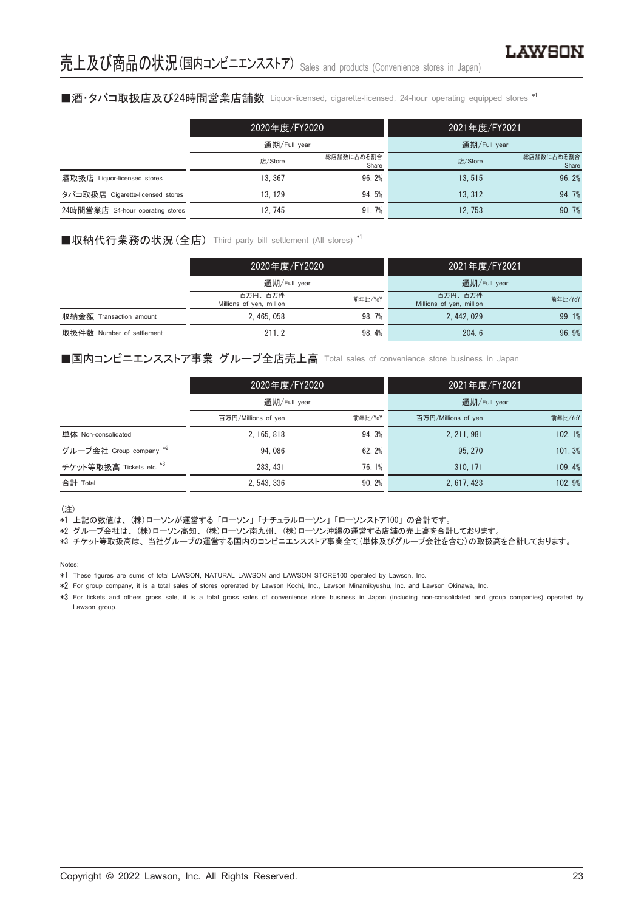#### ■酒・タバコ取扱店及び24時間営業店舗数 Liquor-licensed, cigarette-licensed, 24-hour operating equipped stores \*1

|                                  | 2020年度/FY2020 |                     | 2021年度/FY2021 |                     |
|----------------------------------|---------------|---------------------|---------------|---------------------|
|                                  | 通期/Full year  |                     | 通期/Full year  |                     |
|                                  | 店/Store       | 総店舗数に占める割合<br>Share | 店/Store       | 総店舗数に占める割合<br>Share |
| 酒取扱店 Liquor-licensed stores      | 13.367        | 96.2%               | 13.515        | 96.2%               |
| タバコ取扱店 Cigarette-licensed stores | 13.129        | 94.5%               | 13.312        | 94.7%               |
| 24時間営業店 24-hour operating stores | 12.745        | 91.7%               | 12.753        | 90.7%               |

#### ■収納代行業務の状況 (全店) Third party bill settlement (All stores) \*1

|                           | 2020年度/FY2020                       |         | 2021年度/FY2021                       |         |
|---------------------------|-------------------------------------|---------|-------------------------------------|---------|
|                           | 通期/Full year                        |         | 通期/Full year                        |         |
|                           | 百万円、百万件<br>Millions of yen, million | 前年比/YoY | 百万円、百万件<br>Millions of yen, million | 前年比/YoY |
| 収納金額 Transaction amount   | 2.465.058                           | 98.7%   | 2.442.029                           | 99.1%   |
| 取扱件数 Number of settlement | 211.2                               | 98.4%   | 204.6                               | 96.9%   |

#### ■国内コンビニエンスストア事業 グループ全店売上高 Total sales of convenience store business in Japan

|                          | 2020年度/FY2020<br>通期/Full year |         | 2021年度/FY2021       |         |
|--------------------------|-------------------------------|---------|---------------------|---------|
|                          |                               |         | 通期/Full year        |         |
|                          | 百万円/Millions of yen           | 前年比/YoY | 百万円/Millions of yen | 前年比/YoY |
| 単体 Non-consolidated      | 2, 165, 818                   | 94.3%   | 2, 211, 981         | 102.1%  |
| グループ会社 Group company *2  | 94.086                        | 62.2%   | 95, 270             | 101.3%  |
| チケット等取扱高 Tickets etc. *3 | 283, 431                      | 76.1%   | 310.171             | 109.4%  |
| 合計 Total                 | 2.543.336                     | 90.2%   | 2.617.423           | 102.9%  |

(注)

\*1 上記の数値は、 (株)ローソンが運営する 「ローソン」 「ナチュラルローソン」 「ローソンストア100」 の合計です。

\*2 グループ会社は、 (株)ローソン高知、 (株)ローソン南九州、 (株)ローソン沖縄の運営する店舗の売上高を合計しております。

\*3 チケット等取扱高は、 当社グループの運営する国内のコンビニエンスストア事業全て(単体及びグループ会社を含む)の取扱高を合計しております。

Notes:

\*1 These figures are sums of total LAWSON, NATURAL LAWSON and LAWSON STORE100 operated by Lawson, Inc.

\*2 For group company, it is a total sales of stores oprerated by Lawson Kochi, Inc., Lawson Minamikyushu, Inc. and Lawson Okinawa, Inc.

\*3 For tickets and others gross sale, it is a total gross sales of convenience store business in Japan (including non-consolidated and group companies) operated by Lawson group.